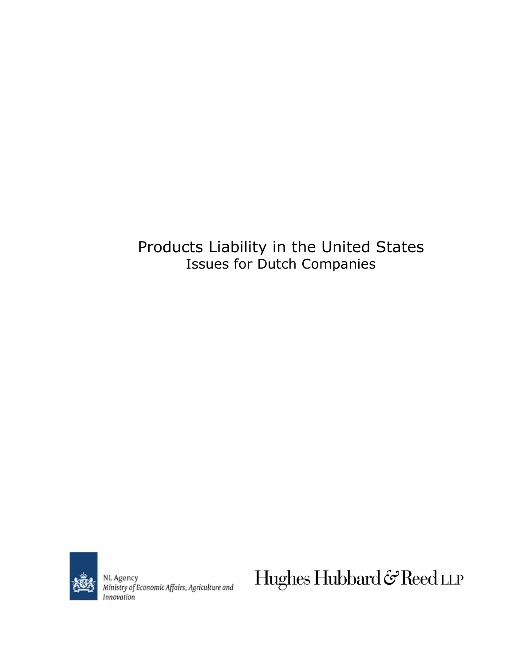# Products Liability in the United States Issues for Dutch Companies



NL Agency<br>Ministry of Economic Affairs, Agriculture and Innovation

Hughes Hubbard & Reed LLP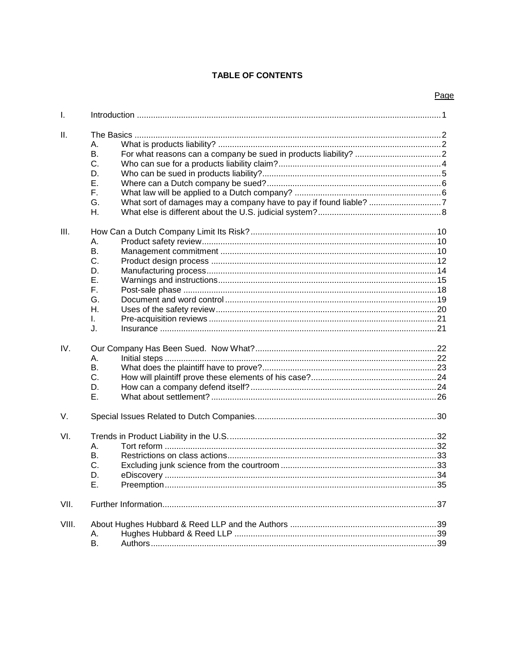# **TABLE OF CONTENTS**

|       |                                                          | Page |
|-------|----------------------------------------------------------|------|
| I.    |                                                          |      |
| Ш.    | А.<br>В.<br>C.<br>D.<br>Е.<br>Е.<br>G.<br>Η.             |      |
| III.  | А.<br>В.<br>C.<br>D.<br>Ε.<br>F.<br>G.<br>Η.<br>I.<br>J. |      |
| IV.   | А.<br>В.<br>C.<br>D.<br>Ε.                               |      |
| V.    |                                                          |      |
| VI.   | Α.<br>Β.<br>C.<br>. 33<br>D.<br>Ε.                       |      |
| VII.  |                                                          |      |
| VIII. | Α.<br>В.                                                 |      |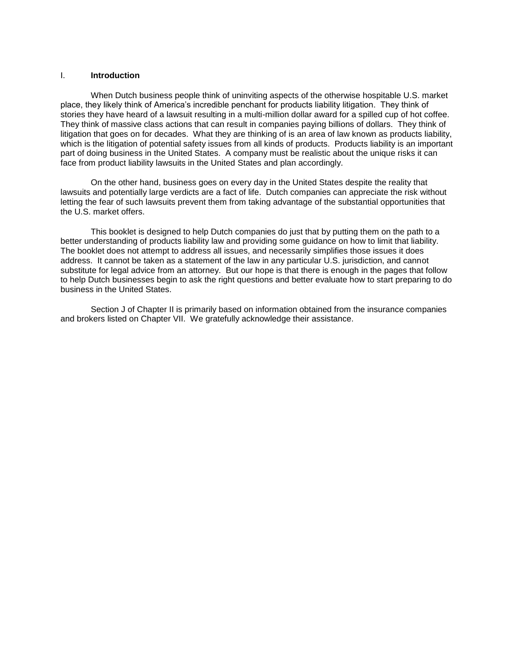#### I. **Introduction**

When Dutch business people think of uninviting aspects of the otherwise hospitable U.S. market place, they likely think of America's incredible penchant for products liability litigation. They think of stories they have heard of a lawsuit resulting in a multi-million dollar award for a spilled cup of hot coffee. They think of massive class actions that can result in companies paying billions of dollars. They think of litigation that goes on for decades. What they are thinking of is an area of law known as products liability, which is the litigation of potential safety issues from all kinds of products. Products liability is an important part of doing business in the United States. A company must be realistic about the unique risks it can face from product liability lawsuits in the United States and plan accordingly.

On the other hand, business goes on every day in the United States despite the reality that lawsuits and potentially large verdicts are a fact of life. Dutch companies can appreciate the risk without letting the fear of such lawsuits prevent them from taking advantage of the substantial opportunities that the U.S. market offers.

This booklet is designed to help Dutch companies do just that by putting them on the path to a better understanding of products liability law and providing some guidance on how to limit that liability. The booklet does not attempt to address all issues, and necessarily simplifies those issues it does address. It cannot be taken as a statement of the law in any particular U.S. jurisdiction, and cannot substitute for legal advice from an attorney. But our hope is that there is enough in the pages that follow to help Dutch businesses begin to ask the right questions and better evaluate how to start preparing to do business in the United States.

Section J of Chapter II is primarily based on information obtained from the insurance companies and brokers listed on Chapter VII. We gratefully acknowledge their assistance.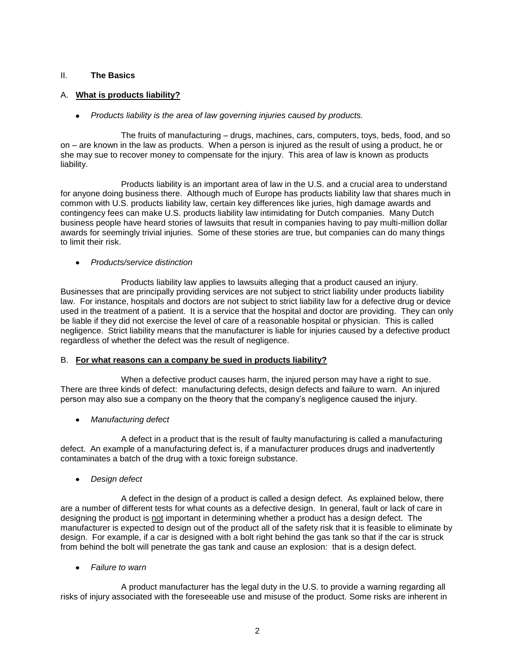## II. **The Basics**

# A. **What is products liability?**

*Products liability is the area of law governing injuries caused by products.*

The fruits of manufacturing – drugs, machines, cars, computers, toys, beds, food, and so on – are known in the law as products. When a person is injured as the result of using a product, he or she may sue to recover money to compensate for the injury. This area of law is known as products liability.

Products liability is an important area of law in the U.S. and a crucial area to understand for anyone doing business there. Although much of Europe has products liability law that shares much in common with U.S. products liability law, certain key differences like juries, high damage awards and contingency fees can make U.S. products liability law intimidating for Dutch companies. Many Dutch business people have heard stories of lawsuits that result in companies having to pay multi-million dollar awards for seemingly trivial injuries. Some of these stories are true, but companies can do many things to limit their risk.

#### *Products/service distinction*

Products liability law applies to lawsuits alleging that a product caused an injury. Businesses that are principally providing services are not subject to strict liability under products liability law. For instance, hospitals and doctors are not subject to strict liability law for a defective drug or device used in the treatment of a patient. It is a service that the hospital and doctor are providing. They can only be liable if they did not exercise the level of care of a reasonable hospital or physician. This is called negligence. Strict liability means that the manufacturer is liable for injuries caused by a defective product regardless of whether the defect was the result of negligence.

#### B. **For what reasons can a company be sued in products liability?**

When a defective product causes harm, the injured person may have a right to sue. There are three kinds of defect: manufacturing defects, design defects and failure to warn. An injured person may also sue a company on the theory that the company's negligence caused the injury.

*Manufacturing defect*

A defect in a product that is the result of faulty manufacturing is called a manufacturing defect. An example of a manufacturing defect is, if a manufacturer produces drugs and inadvertently contaminates a batch of the drug with a toxic foreign substance.

*Design defect*

A defect in the design of a product is called a design defect. As explained below, there are a number of different tests for what counts as a defective design. In general, fault or lack of care in designing the product is not important in determining whether a product has a design defect. The manufacturer is expected to design out of the product all of the safety risk that it is feasible to eliminate by design. For example, if a car is designed with a bolt right behind the gas tank so that if the car is struck from behind the bolt will penetrate the gas tank and cause an explosion: that is a design defect.

*Failure to warn* 

A product manufacturer has the legal duty in the U.S. to provide a warning regarding all risks of injury associated with the foreseeable use and misuse of the product. Some risks are inherent in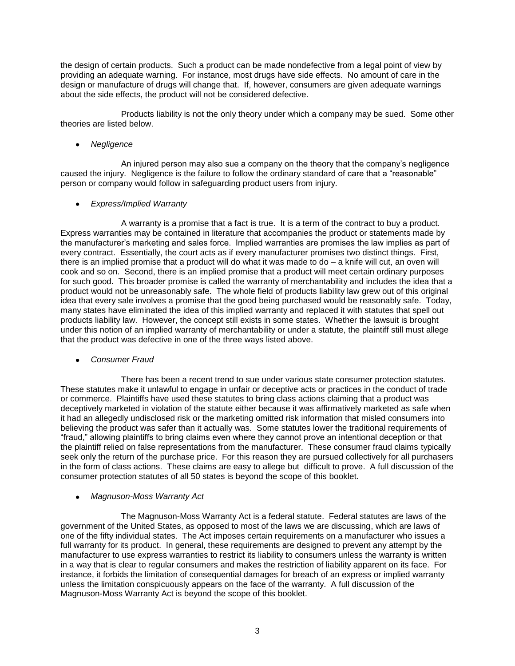the design of certain products. Such a product can be made nondefective from a legal point of view by providing an adequate warning. For instance, most drugs have side effects. No amount of care in the design or manufacture of drugs will change that. If, however, consumers are given adequate warnings about the side effects, the product will not be considered defective.

Products liability is not the only theory under which a company may be sued. Some other theories are listed below.

# *Negligence*

An injured person may also sue a company on the theory that the company's negligence caused the injury. Negligence is the failure to follow the ordinary standard of care that a "reasonable" person or company would follow in safeguarding product users from injury.

# *Express/Implied Warranty*

A warranty is a promise that a fact is true. It is a term of the contract to buy a product. Express warranties may be contained in literature that accompanies the product or statements made by the manufacturer's marketing and sales force. Implied warranties are promises the law implies as part of every contract. Essentially, the court acts as if every manufacturer promises two distinct things. First, there is an implied promise that a product will do what it was made to do – a knife will cut, an oven will cook and so on. Second, there is an implied promise that a product will meet certain ordinary purposes for such good. This broader promise is called the warranty of merchantability and includes the idea that a product would not be unreasonably safe. The whole field of products liability law grew out of this original idea that every sale involves a promise that the good being purchased would be reasonably safe. Today, many states have eliminated the idea of this implied warranty and replaced it with statutes that spell out products liability law. However, the concept still exists in some states. Whether the lawsuit is brought under this notion of an implied warranty of merchantability or under a statute, the plaintiff still must allege that the product was defective in one of the three ways listed above.

#### *Consumer Fraud*

There has been a recent trend to sue under various state consumer protection statutes. These statutes make it unlawful to engage in unfair or deceptive acts or practices in the conduct of trade or commerce. Plaintiffs have used these statutes to bring class actions claiming that a product was deceptively marketed in violation of the statute either because it was affirmatively marketed as safe when it had an allegedly undisclosed risk or the marketing omitted risk information that misled consumers into believing the product was safer than it actually was. Some statutes lower the traditional requirements of ―fraud,‖ allowing plaintiffs to bring claims even where they cannot prove an intentional deception or that the plaintiff relied on false representations from the manufacturer. These consumer fraud claims typically seek only the return of the purchase price. For this reason they are pursued collectively for all purchasers in the form of class actions. These claims are easy to allege but difficult to prove. A full discussion of the consumer protection statutes of all 50 states is beyond the scope of this booklet.

# *Magnuson-Moss Warranty Act*

The Magnuson-Moss Warranty Act is a federal statute. Federal statutes are laws of the government of the United States, as opposed to most of the laws we are discussing, which are laws of one of the fifty individual states. The Act imposes certain requirements on a manufacturer who issues a full warranty for its product. In general, these requirements are designed to prevent any attempt by the manufacturer to use express warranties to restrict its liability to consumers unless the warranty is written in a way that is clear to regular consumers and makes the restriction of liability apparent on its face. For instance, it forbids the limitation of consequential damages for breach of an express or implied warranty unless the limitation conspicuously appears on the face of the warranty. A full discussion of the Magnuson-Moss Warranty Act is beyond the scope of this booklet.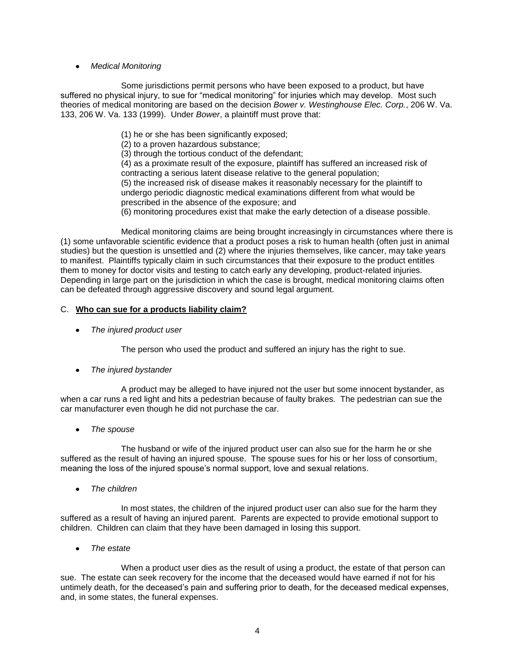# *Medical Monitoring*

Some jurisdictions permit persons who have been exposed to a product, but have suffered no physical injury, to sue for "medical monitoring" for injuries which may develop. Most such theories of medical monitoring are based on the decision *Bower v. Westinghouse Elec. Corp.*, 206 W. Va. 133, 206 W. Va. 133 (1999). Under *Bower*, a plaintiff must prove that:

(1) he or she has been significantly exposed;

(2) to a proven hazardous substance;

(3) through the tortious conduct of the defendant;

(4) as a proximate result of the exposure, plaintiff has suffered an increased risk of contracting a serious latent disease relative to the general population; (5) the increased risk of disease makes it reasonably necessary for the plaintiff to undergo periodic diagnostic medical examinations different from what would be prescribed in the absence of the exposure; and

(6) monitoring procedures exist that make the early detection of a disease possible.

Medical monitoring claims are being brought increasingly in circumstances where there is (1) some unfavorable scientific evidence that a product poses a risk to human health (often just in animal studies) but the question is unsettled and (2) where the injuries themselves, like cancer, may take years to manifest. Plaintiffs typically claim in such circumstances that their exposure to the product entitles them to money for doctor visits and testing to catch early any developing, product-related injuries. Depending in large part on the jurisdiction in which the case is brought, medical monitoring claims often can be defeated through aggressive discovery and sound legal argument.

# C. **Who can sue for a products liability claim?**

*The injured product user*

The person who used the product and suffered an injury has the right to sue.

*The injured bystander*  $\bullet$ 

A product may be alleged to have injured not the user but some innocent bystander, as when a car runs a red light and hits a pedestrian because of faulty brakes. The pedestrian can sue the car manufacturer even though he did not purchase the car.

*The spouse* 

The husband or wife of the injured product user can also sue for the harm he or she suffered as the result of having an injured spouse. The spouse sues for his or her loss of consortium, meaning the loss of the injured spouse's normal support, love and sexual relations.

*The children* 

In most states, the children of the injured product user can also sue for the harm they suffered as a result of having an injured parent. Parents are expected to provide emotional support to children. Children can claim that they have been damaged in losing this support.

*The estate*

When a product user dies as the result of using a product, the estate of that person can sue. The estate can seek recovery for the income that the deceased would have earned if not for his untimely death, for the deceased's pain and suffering prior to death, for the deceased medical expenses, and, in some states, the funeral expenses.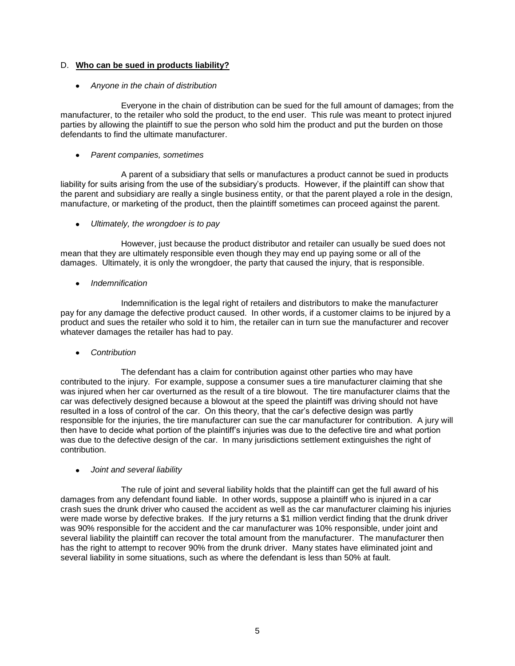# D. **Who can be sued in products liability?**

# *Anyone in the chain of distribution*

Everyone in the chain of distribution can be sued for the full amount of damages; from the manufacturer, to the retailer who sold the product, to the end user. This rule was meant to protect injured parties by allowing the plaintiff to sue the person who sold him the product and put the burden on those defendants to find the ultimate manufacturer.

*Parent companies, sometimes*

A parent of a subsidiary that sells or manufactures a product cannot be sued in products liability for suits arising from the use of the subsidiary's products. However, if the plaintiff can show that the parent and subsidiary are really a single business entity, or that the parent played a role in the design, manufacture, or marketing of the product, then the plaintiff sometimes can proceed against the parent.

*Ultimately, the wrongdoer is to pay*

However, just because the product distributor and retailer can usually be sued does not mean that they are ultimately responsible even though they may end up paying some or all of the damages. Ultimately, it is only the wrongdoer, the party that caused the injury, that is responsible.

*Indemnification*

Indemnification is the legal right of retailers and distributors to make the manufacturer pay for any damage the defective product caused. In other words, if a customer claims to be injured by a product and sues the retailer who sold it to him, the retailer can in turn sue the manufacturer and recover whatever damages the retailer has had to pay.

*Contribution* 

The defendant has a claim for contribution against other parties who may have contributed to the injury. For example, suppose a consumer sues a tire manufacturer claiming that she was injured when her car overturned as the result of a tire blowout. The tire manufacturer claims that the car was defectively designed because a blowout at the speed the plaintiff was driving should not have resulted in a loss of control of the car. On this theory, that the car's defective design was partly responsible for the injuries, the tire manufacturer can sue the car manufacturer for contribution. A jury will then have to decide what portion of the plaintiff's injuries was due to the defective tire and what portion was due to the defective design of the car. In many jurisdictions settlement extinguishes the right of contribution.

*Joint and several liability*

The rule of joint and several liability holds that the plaintiff can get the full award of his damages from any defendant found liable. In other words, suppose a plaintiff who is injured in a car crash sues the drunk driver who caused the accident as well as the car manufacturer claiming his injuries were made worse by defective brakes. If the jury returns a \$1 million verdict finding that the drunk driver was 90% responsible for the accident and the car manufacturer was 10% responsible, under joint and several liability the plaintiff can recover the total amount from the manufacturer. The manufacturer then has the right to attempt to recover 90% from the drunk driver. Many states have eliminated joint and several liability in some situations, such as where the defendant is less than 50% at fault.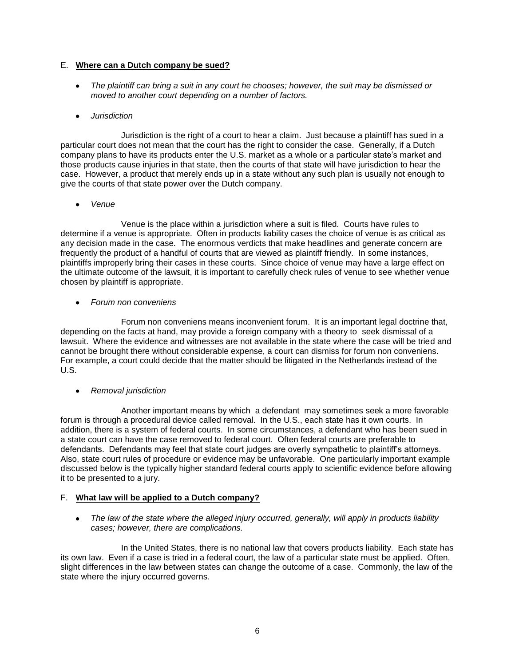# E. **Where can a Dutch company be sued?**

*The plaintiff can bring a suit in any court he chooses; however, the suit may be dismissed or moved to another court depending on a number of factors.*

# *Jurisdiction*

Jurisdiction is the right of a court to hear a claim. Just because a plaintiff has sued in a particular court does not mean that the court has the right to consider the case. Generally, if a Dutch company plans to have its products enter the U.S. market as a whole or a particular state's market and those products cause injuries in that state, then the courts of that state will have jurisdiction to hear the case. However, a product that merely ends up in a state without any such plan is usually not enough to give the courts of that state power over the Dutch company.

*Venue*

Venue is the place within a jurisdiction where a suit is filed. Courts have rules to determine if a venue is appropriate. Often in products liability cases the choice of venue is as critical as any decision made in the case. The enormous verdicts that make headlines and generate concern are frequently the product of a handful of courts that are viewed as plaintiff friendly. In some instances, plaintiffs improperly bring their cases in these courts. Since choice of venue may have a large effect on the ultimate outcome of the lawsuit, it is important to carefully check rules of venue to see whether venue chosen by plaintiff is appropriate.

*Forum non conveniens*

Forum non conveniens means inconvenient forum. It is an important legal doctrine that, depending on the facts at hand, may provide a foreign company with a theory to seek dismissal of a lawsuit. Where the evidence and witnesses are not available in the state where the case will be tried and cannot be brought there without considerable expense, a court can dismiss for forum non conveniens. For example, a court could decide that the matter should be litigated in the Netherlands instead of the U.S.

*Removal jurisdiction*

Another important means by which a defendant may sometimes seek a more favorable forum is through a procedural device called removal. In the U.S., each state has it own courts. In addition, there is a system of federal courts. In some circumstances, a defendant who has been sued in a state court can have the case removed to federal court. Often federal courts are preferable to defendants. Defendants may feel that state court judges are overly sympathetic to plaintiff's attorneys. Also, state court rules of procedure or evidence may be unfavorable. One particularly important example discussed below is the typically higher standard federal courts apply to scientific evidence before allowing it to be presented to a jury.

# F. **What law will be applied to a Dutch company?**

• The law of the state where the alleged injury occurred, generally, will apply in products liability *cases; however, there are complications.*

In the United States, there is no national law that covers products liability. Each state has its own law. Even if a case is tried in a federal court, the law of a particular state must be applied. Often, slight differences in the law between states can change the outcome of a case. Commonly, the law of the state where the injury occurred governs.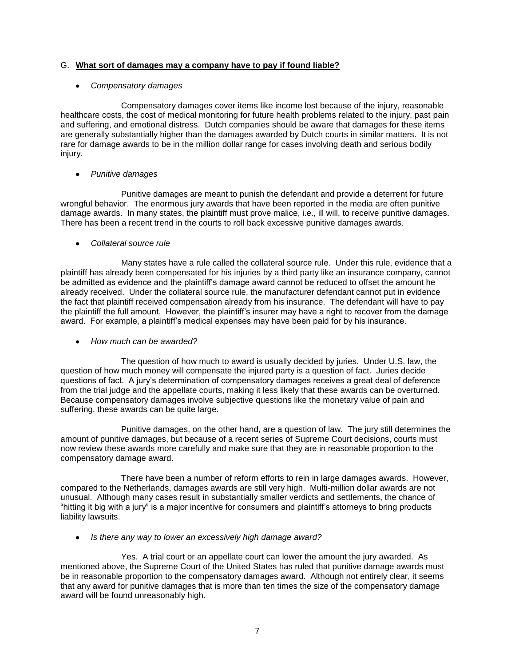# G. **What sort of damages may a company have to pay if found liable?**

# *Compensatory damages*

Compensatory damages cover items like income lost because of the injury, reasonable healthcare costs, the cost of medical monitoring for future health problems related to the injury, past pain and suffering, and emotional distress. Dutch companies should be aware that damages for these items are generally substantially higher than the damages awarded by Dutch courts in similar matters. It is not rare for damage awards to be in the million dollar range for cases involving death and serious bodily injury.

# *Punitive damages*

Punitive damages are meant to punish the defendant and provide a deterrent for future wrongful behavior. The enormous jury awards that have been reported in the media are often punitive damage awards. In many states, the plaintiff must prove malice, i.e., ill will, to receive punitive damages. There has been a recent trend in the courts to roll back excessive punitive damages awards.

# *Collateral source rule*

Many states have a rule called the collateral source rule. Under this rule, evidence that a plaintiff has already been compensated for his injuries by a third party like an insurance company, cannot be admitted as evidence and the plaintiff's damage award cannot be reduced to offset the amount he already received. Under the collateral source rule, the manufacturer defendant cannot put in evidence the fact that plaintiff received compensation already from his insurance. The defendant will have to pay the plaintiff the full amount. However, the plaintiff's insurer may have a right to recover from the damage award. For example, a plaintiff's medical expenses may have been paid for by his insurance.

#### *How much can be awarded?*

The question of how much to award is usually decided by juries. Under U.S. law, the question of how much money will compensate the injured party is a question of fact. Juries decide questions of fact. A jury's determination of compensatory damages receives a great deal of deference from the trial judge and the appellate courts, making it less likely that these awards can be overturned. Because compensatory damages involve subjective questions like the monetary value of pain and suffering, these awards can be quite large.

Punitive damages, on the other hand, are a question of law. The jury still determines the amount of punitive damages, but because of a recent series of Supreme Court decisions, courts must now review these awards more carefully and make sure that they are in reasonable proportion to the compensatory damage award.

There have been a number of reform efforts to rein in large damages awards. However, compared to the Netherlands, damages awards are still very high. Multi-million dollar awards are not unusual. Although many cases result in substantially smaller verdicts and settlements, the chance of ―hitting it big with a jury‖ is a major incentive for consumers and plaintiff's attorneys to bring products liability lawsuits.

*Is there any way to lower an excessively high damage award?*

Yes. A trial court or an appellate court can lower the amount the jury awarded. As mentioned above, the Supreme Court of the United States has ruled that punitive damage awards must be in reasonable proportion to the compensatory damages award. Although not entirely clear, it seems that any award for punitive damages that is more than ten times the size of the compensatory damage award will be found unreasonably high.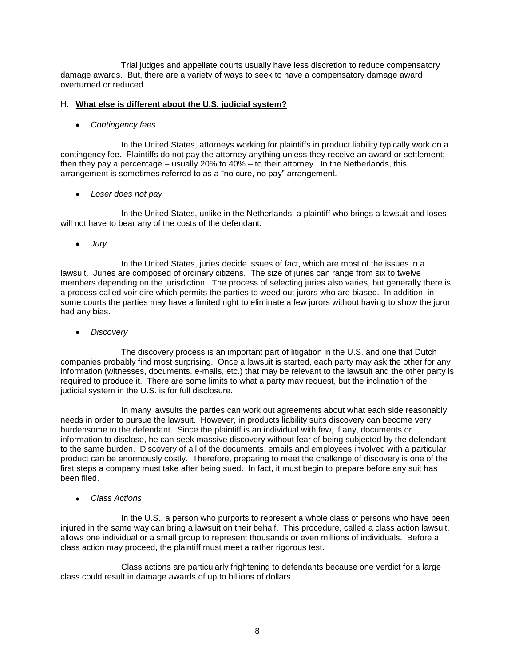Trial judges and appellate courts usually have less discretion to reduce compensatory damage awards. But, there are a variety of ways to seek to have a compensatory damage award overturned or reduced.

# H. **What else is different about the U.S. judicial system?**

# *Contingency fees*

In the United States, attorneys working for plaintiffs in product liability typically work on a contingency fee. Plaintiffs do not pay the attorney anything unless they receive an award or settlement; then they pay a percentage – usually 20% to 40% – to their attorney. In the Netherlands, this arrangement is sometimes referred to as a "no cure, no pay" arrangement.

*Loser does not pay*

In the United States, unlike in the Netherlands, a plaintiff who brings a lawsuit and loses will not have to bear any of the costs of the defendant.

*Jury* 

In the United States, juries decide issues of fact, which are most of the issues in a lawsuit. Juries are composed of ordinary citizens. The size of juries can range from six to twelve members depending on the jurisdiction. The process of selecting juries also varies, but generally there is a process called voir dire which permits the parties to weed out jurors who are biased. In addition, in some courts the parties may have a limited right to eliminate a few jurors without having to show the juror had any bias.

*Discovery*

The discovery process is an important part of litigation in the U.S. and one that Dutch companies probably find most surprising. Once a lawsuit is started, each party may ask the other for any information (witnesses, documents, e-mails, etc.) that may be relevant to the lawsuit and the other party is required to produce it. There are some limits to what a party may request, but the inclination of the judicial system in the U.S. is for full disclosure.

In many lawsuits the parties can work out agreements about what each side reasonably needs in order to pursue the lawsuit. However, in products liability suits discovery can become very burdensome to the defendant. Since the plaintiff is an individual with few, if any, documents or information to disclose, he can seek massive discovery without fear of being subjected by the defendant to the same burden. Discovery of all of the documents, emails and employees involved with a particular product can be enormously costly. Therefore, preparing to meet the challenge of discovery is one of the first steps a company must take after being sued. In fact, it must begin to prepare before any suit has been filed.

*Class Actions*

In the U.S., a person who purports to represent a whole class of persons who have been injured in the same way can bring a lawsuit on their behalf. This procedure, called a class action lawsuit, allows one individual or a small group to represent thousands or even millions of individuals. Before a class action may proceed, the plaintiff must meet a rather rigorous test.

Class actions are particularly frightening to defendants because one verdict for a large class could result in damage awards of up to billions of dollars.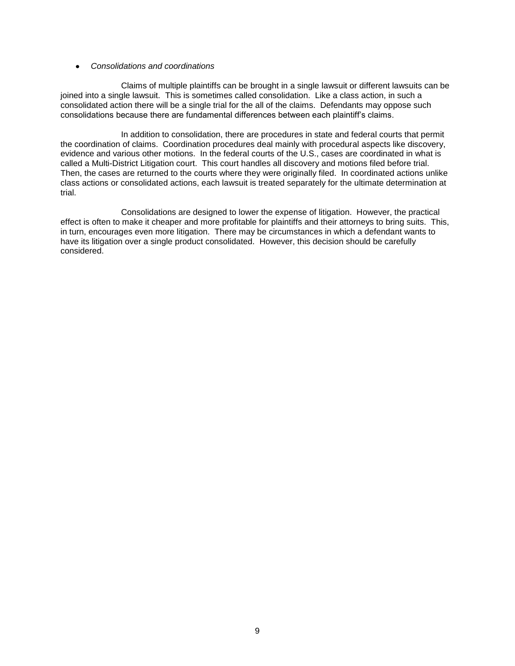#### *Consolidations and coordinations*

Claims of multiple plaintiffs can be brought in a single lawsuit or different lawsuits can be joined into a single lawsuit. This is sometimes called consolidation. Like a class action, in such a consolidated action there will be a single trial for the all of the claims. Defendants may oppose such consolidations because there are fundamental differences between each plaintiff's claims.

In addition to consolidation, there are procedures in state and federal courts that permit the coordination of claims. Coordination procedures deal mainly with procedural aspects like discovery, evidence and various other motions. In the federal courts of the U.S., cases are coordinated in what is called a Multi-District Litigation court. This court handles all discovery and motions filed before trial. Then, the cases are returned to the courts where they were originally filed. In coordinated actions unlike class actions or consolidated actions, each lawsuit is treated separately for the ultimate determination at trial.

Consolidations are designed to lower the expense of litigation. However, the practical effect is often to make it cheaper and more profitable for plaintiffs and their attorneys to bring suits. This, in turn, encourages even more litigation. There may be circumstances in which a defendant wants to have its litigation over a single product consolidated. However, this decision should be carefully considered.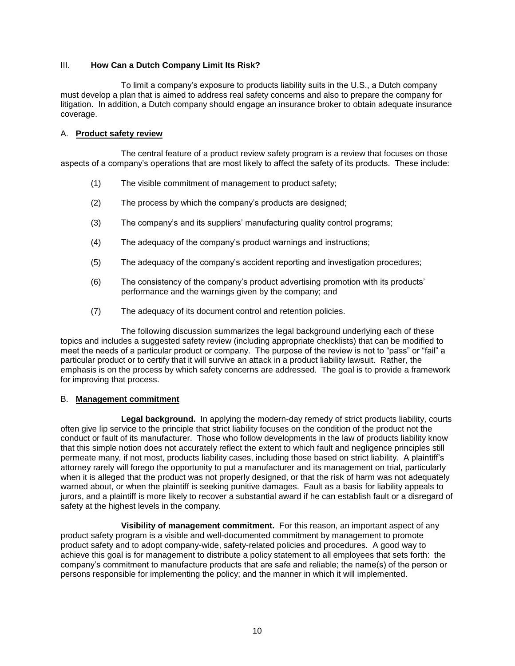# III. **How Can a Dutch Company Limit Its Risk?**

To limit a company's exposure to products liability suits in the U.S., a Dutch company must develop a plan that is aimed to address real safety concerns and also to prepare the company for litigation. In addition, a Dutch company should engage an insurance broker to obtain adequate insurance coverage.

## A. **Product safety review**

The central feature of a product review safety program is a review that focuses on those aspects of a company's operations that are most likely to affect the safety of its products. These include:

- (1) The visible commitment of management to product safety;
- (2) The process by which the company's products are designed;
- (3) The company's and its suppliers' manufacturing quality control programs;
- (4) The adequacy of the company's product warnings and instructions;
- (5) The adequacy of the company's accident reporting and investigation procedures;
- (6) The consistency of the company's product advertising promotion with its products' performance and the warnings given by the company; and
- (7) The adequacy of its document control and retention policies.

The following discussion summarizes the legal background underlying each of these topics and includes a suggested safety review (including appropriate checklists) that can be modified to meet the needs of a particular product or company. The purpose of the review is not to "pass" or "fail" a particular product or to certify that it will survive an attack in a product liability lawsuit. Rather, the emphasis is on the process by which safety concerns are addressed. The goal is to provide a framework for improving that process.

#### B. **Management commitment**

**Legal background.** In applying the modern-day remedy of strict products liability, courts often give lip service to the principle that strict liability focuses on the condition of the product not the conduct or fault of its manufacturer. Those who follow developments in the law of products liability know that this simple notion does not accurately reflect the extent to which fault and negligence principles still permeate many, if not most, products liability cases, including those based on strict liability. A plaintiff's attorney rarely will forego the opportunity to put a manufacturer and its management on trial, particularly when it is alleged that the product was not properly designed, or that the risk of harm was not adequately warned about, or when the plaintiff is seeking punitive damages. Fault as a basis for liability appeals to jurors, and a plaintiff is more likely to recover a substantial award if he can establish fault or a disregard of safety at the highest levels in the company.

**Visibility of management commitment.** For this reason, an important aspect of any product safety program is a visible and well-documented commitment by management to promote product safety and to adopt company-wide, safety-related policies and procedures. A good way to achieve this goal is for management to distribute a policy statement to all employees that sets forth: the company's commitment to manufacture products that are safe and reliable; the name(s) of the person or persons responsible for implementing the policy; and the manner in which it will implemented.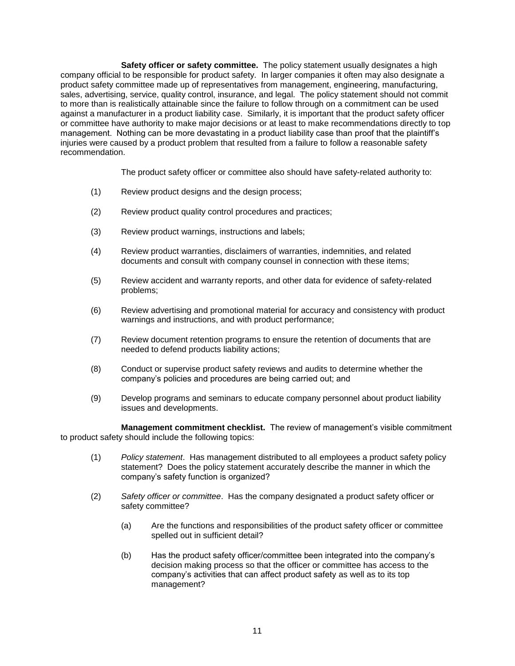**Safety officer or safety committee.** The policy statement usually designates a high company official to be responsible for product safety. In larger companies it often may also designate a product safety committee made up of representatives from management, engineering, manufacturing, sales, advertising, service, quality control, insurance, and legal. The policy statement should not commit to more than is realistically attainable since the failure to follow through on a commitment can be used against a manufacturer in a product liability case. Similarly, it is important that the product safety officer or committee have authority to make major decisions or at least to make recommendations directly to top management. Nothing can be more devastating in a product liability case than proof that the plaintiff's injuries were caused by a product problem that resulted from a failure to follow a reasonable safety recommendation.

The product safety officer or committee also should have safety-related authority to:

- (1) Review product designs and the design process;
- (2) Review product quality control procedures and practices;
- (3) Review product warnings, instructions and labels;
- (4) Review product warranties, disclaimers of warranties, indemnities, and related documents and consult with company counsel in connection with these items;
- (5) Review accident and warranty reports, and other data for evidence of safety-related problems;
- (6) Review advertising and promotional material for accuracy and consistency with product warnings and instructions, and with product performance;
- (7) Review document retention programs to ensure the retention of documents that are needed to defend products liability actions;
- (8) Conduct or supervise product safety reviews and audits to determine whether the company's policies and procedures are being carried out; and
- (9) Develop programs and seminars to educate company personnel about product liability issues and developments.

**Management commitment checklist.** The review of management's visible commitment to product safety should include the following topics:

- (1) *Policy statement*. Has management distributed to all employees a product safety policy statement? Does the policy statement accurately describe the manner in which the company's safety function is organized?
- (2) *Safety officer or committee*. Has the company designated a product safety officer or safety committee?
	- (a) Are the functions and responsibilities of the product safety officer or committee spelled out in sufficient detail?
	- (b) Has the product safety officer/committee been integrated into the company's decision making process so that the officer or committee has access to the company's activities that can affect product safety as well as to its top management?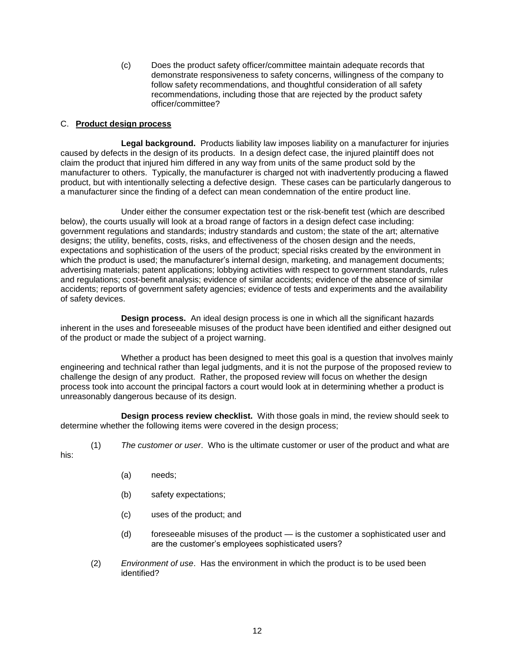(c) Does the product safety officer/committee maintain adequate records that demonstrate responsiveness to safety concerns, willingness of the company to follow safety recommendations, and thoughtful consideration of all safety recommendations, including those that are rejected by the product safety officer/committee?

# C. **Product design process**

**Legal background.** Products liability law imposes liability on a manufacturer for injuries caused by defects in the design of its products. In a design defect case, the injured plaintiff does not claim the product that injured him differed in any way from units of the same product sold by the manufacturer to others. Typically, the manufacturer is charged not with inadvertently producing a flawed product, but with intentionally selecting a defective design. These cases can be particularly dangerous to a manufacturer since the finding of a defect can mean condemnation of the entire product line.

Under either the consumer expectation test or the risk-benefit test (which are described below), the courts usually will look at a broad range of factors in a design defect case including: government regulations and standards; industry standards and custom; the state of the art; alternative designs; the utility, benefits, costs, risks, and effectiveness of the chosen design and the needs, expectations and sophistication of the users of the product; special risks created by the environment in which the product is used; the manufacturer's internal design, marketing, and management documents; advertising materials; patent applications; lobbying activities with respect to government standards, rules and regulations; cost-benefit analysis; evidence of similar accidents; evidence of the absence of similar accidents; reports of government safety agencies; evidence of tests and experiments and the availability of safety devices.

**Design process.** An ideal design process is one in which all the significant hazards inherent in the uses and foreseeable misuses of the product have been identified and either designed out of the product or made the subject of a project warning.

Whether a product has been designed to meet this goal is a question that involves mainly engineering and technical rather than legal judgments, and it is not the purpose of the proposed review to challenge the design of any product. Rather, the proposed review will focus on whether the design process took into account the principal factors a court would look at in determining whether a product is unreasonably dangerous because of its design.

**Design process review checklist.** With those goals in mind, the review should seek to determine whether the following items were covered in the design process;

- 
- (1) *The customer or user*. Who is the ultimate customer or user of the product and what are

his:

- (a) needs;
- (b) safety expectations;
- (c) uses of the product; and
- (d) foreseeable misuses of the product is the customer a sophisticated user and are the customer's employees sophisticated users?
- (2) *Environment of use*. Has the environment in which the product is to be used been identified?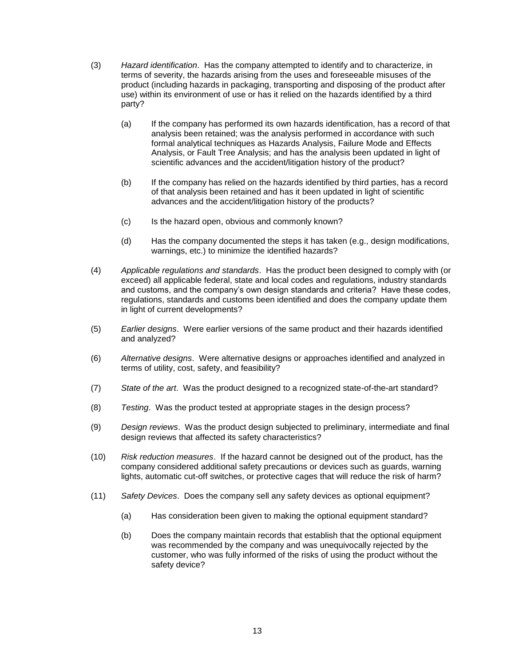- (3) *Hazard identification*. Has the company attempted to identify and to characterize, in terms of severity, the hazards arising from the uses and foreseeable misuses of the product (including hazards in packaging, transporting and disposing of the product after use) within its environment of use or has it relied on the hazards identified by a third party?
	- (a) If the company has performed its own hazards identification, has a record of that analysis been retained; was the analysis performed in accordance with such formal analytical techniques as Hazards Analysis, Failure Mode and Effects Analysis, or Fault Tree Analysis; and has the analysis been updated in light of scientific advances and the accident/litigation history of the product?
	- (b) If the company has relied on the hazards identified by third parties, has a record of that analysis been retained and has it been updated in light of scientific advances and the accident/litigation history of the products?
	- (c) Is the hazard open, obvious and commonly known?
	- (d) Has the company documented the steps it has taken (e.g., design modifications, warnings, etc.) to minimize the identified hazards?
- (4) *Applicable regulations and standards*. Has the product been designed to comply with (or exceed) all applicable federal, state and local codes and regulations, industry standards and customs, and the company's own design standards and criteria? Have these codes, regulations, standards and customs been identified and does the company update them in light of current developments?
- (5) *Earlier designs*. Were earlier versions of the same product and their hazards identified and analyzed?
- (6) *Alternative designs*. Were alternative designs or approaches identified and analyzed in terms of utility, cost, safety, and feasibility?
- (7) *State of the art*. Was the product designed to a recognized state-of-the-art standard?
- (8) *Testing*. Was the product tested at appropriate stages in the design process?
- (9) *Design reviews*. Was the product design subjected to preliminary, intermediate and final design reviews that affected its safety characteristics?
- (10) *Risk reduction measures*. If the hazard cannot be designed out of the product, has the company considered additional safety precautions or devices such as guards, warning lights, automatic cut-off switches, or protective cages that will reduce the risk of harm?
- (11) *Safety Devices*. Does the company sell any safety devices as optional equipment?
	- (a) Has consideration been given to making the optional equipment standard?
	- (b) Does the company maintain records that establish that the optional equipment was recommended by the company and was unequivocally rejected by the customer, who was fully informed of the risks of using the product without the safety device?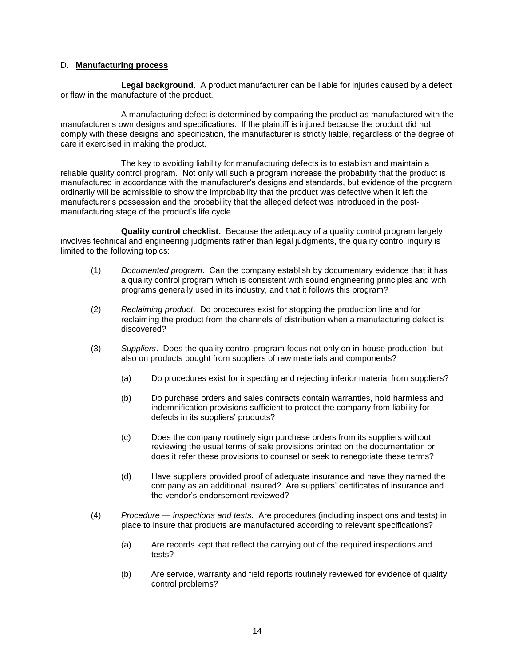## D. **Manufacturing process**

**Legal background.** A product manufacturer can be liable for injuries caused by a defect or flaw in the manufacture of the product.

A manufacturing defect is determined by comparing the product as manufactured with the manufacturer's own designs and specifications. If the plaintiff is injured because the product did not comply with these designs and specification, the manufacturer is strictly liable, regardless of the degree of care it exercised in making the product.

The key to avoiding liability for manufacturing defects is to establish and maintain a reliable quality control program. Not only will such a program increase the probability that the product is manufactured in accordance with the manufacturer's designs and standards, but evidence of the program ordinarily will be admissible to show the improbability that the product was defective when it left the manufacturer's possession and the probability that the alleged defect was introduced in the postmanufacturing stage of the product's life cycle.

**Quality control checklist.** Because the adequacy of a quality control program largely involves technical and engineering judgments rather than legal judgments, the quality control inquiry is limited to the following topics:

- (1) *Documented program*. Can the company establish by documentary evidence that it has a quality control program which is consistent with sound engineering principles and with programs generally used in its industry, and that it follows this program?
- (2) *Reclaiming product*. Do procedures exist for stopping the production line and for reclaiming the product from the channels of distribution when a manufacturing defect is discovered?
- (3) *Suppliers*. Does the quality control program focus not only on in-house production, but also on products bought from suppliers of raw materials and components?
	- (a) Do procedures exist for inspecting and rejecting inferior material from suppliers?
	- (b) Do purchase orders and sales contracts contain warranties, hold harmless and indemnification provisions sufficient to protect the company from liability for defects in its suppliers' products?
	- (c) Does the company routinely sign purchase orders from its suppliers without reviewing the usual terms of sale provisions printed on the documentation or does it refer these provisions to counsel or seek to renegotiate these terms?
	- (d) Have suppliers provided proof of adequate insurance and have they named the company as an additional insured? Are suppliers' certificates of insurance and the vendor's endorsement reviewed?
- (4) *Procedure inspections and tests*. Are procedures (including inspections and tests) in place to insure that products are manufactured according to relevant specifications?
	- (a) Are records kept that reflect the carrying out of the required inspections and tests?
	- (b) Are service, warranty and field reports routinely reviewed for evidence of quality control problems?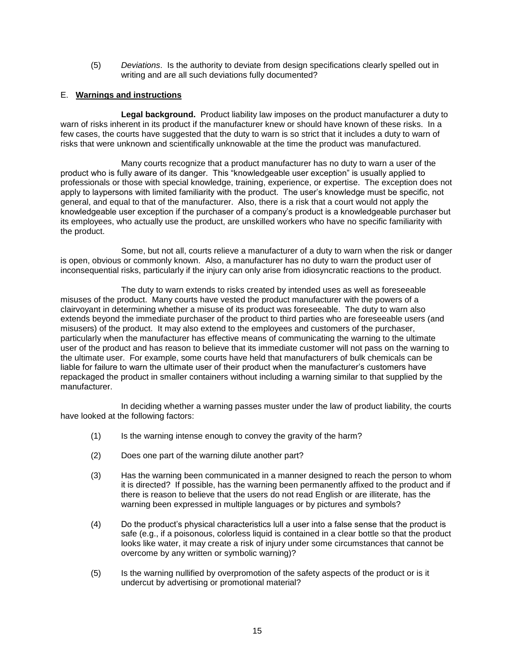(5) *Deviations*. Is the authority to deviate from design specifications clearly spelled out in writing and are all such deviations fully documented?

# E. **Warnings and instructions**

**Legal background.** Product liability law imposes on the product manufacturer a duty to warn of risks inherent in its product if the manufacturer knew or should have known of these risks. In a few cases, the courts have suggested that the duty to warn is so strict that it includes a duty to warn of risks that were unknown and scientifically unknowable at the time the product was manufactured.

Many courts recognize that a product manufacturer has no duty to warn a user of the product who is fully aware of its danger. This "knowledgeable user exception" is usually applied to professionals or those with special knowledge, training, experience, or expertise. The exception does not apply to laypersons with limited familiarity with the product. The user's knowledge must be specific, not general, and equal to that of the manufacturer. Also, there is a risk that a court would not apply the knowledgeable user exception if the purchaser of a company's product is a knowledgeable purchaser but its employees, who actually use the product, are unskilled workers who have no specific familiarity with the product.

Some, but not all, courts relieve a manufacturer of a duty to warn when the risk or danger is open, obvious or commonly known. Also, a manufacturer has no duty to warn the product user of inconsequential risks, particularly if the injury can only arise from idiosyncratic reactions to the product.

The duty to warn extends to risks created by intended uses as well as foreseeable misuses of the product. Many courts have vested the product manufacturer with the powers of a clairvoyant in determining whether a misuse of its product was foreseeable. The duty to warn also extends beyond the immediate purchaser of the product to third parties who are foreseeable users (and misusers) of the product. It may also extend to the employees and customers of the purchaser, particularly when the manufacturer has effective means of communicating the warning to the ultimate user of the product and has reason to believe that its immediate customer will not pass on the warning to the ultimate user. For example, some courts have held that manufacturers of bulk chemicals can be liable for failure to warn the ultimate user of their product when the manufacturer's customers have repackaged the product in smaller containers without including a warning similar to that supplied by the manufacturer.

In deciding whether a warning passes muster under the law of product liability, the courts have looked at the following factors:

- (1) Is the warning intense enough to convey the gravity of the harm?
- (2) Does one part of the warning dilute another part?
- (3) Has the warning been communicated in a manner designed to reach the person to whom it is directed? If possible, has the warning been permanently affixed to the product and if there is reason to believe that the users do not read English or are illiterate, has the warning been expressed in multiple languages or by pictures and symbols?
- (4) Do the product's physical characteristics lull a user into a false sense that the product is safe (e.g., if a poisonous, colorless liquid is contained in a clear bottle so that the product looks like water, it may create a risk of injury under some circumstances that cannot be overcome by any written or symbolic warning)?
- (5) Is the warning nullified by overpromotion of the safety aspects of the product or is it undercut by advertising or promotional material?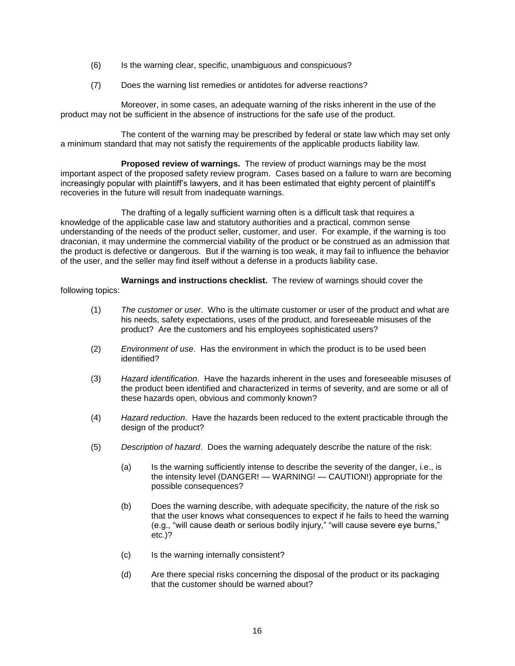- (6) Is the warning clear, specific, unambiguous and conspicuous?
- (7) Does the warning list remedies or antidotes for adverse reactions?

Moreover, in some cases, an adequate warning of the risks inherent in the use of the product may not be sufficient in the absence of instructions for the safe use of the product.

The content of the warning may be prescribed by federal or state law which may set only a minimum standard that may not satisfy the requirements of the applicable products liability law.

**Proposed review of warnings.** The review of product warnings may be the most important aspect of the proposed safety review program. Cases based on a failure to warn are becoming increasingly popular with plaintiff's lawyers, and it has been estimated that eighty percent of plaintiff's recoveries in the future will result from inadequate warnings.

The drafting of a legally sufficient warning often is a difficult task that requires a knowledge of the applicable case law and statutory authorities and a practical, common sense understanding of the needs of the product seller, customer, and user. For example, if the warning is too draconian, it may undermine the commercial viability of the product or be construed as an admission that the product is defective or dangerous. But if the warning is too weak, it may fail to influence the behavior of the user, and the seller may find itself without a defense in a products liability case.

**Warnings and instructions checklist.** The review of warnings should cover the following topics:

- (1) *The customer or user*. Who is the ultimate customer or user of the product and what are his needs, safety expectations, uses of the product, and foreseeable misuses of the product? Are the customers and his employees sophisticated users?
- (2) *Environment of use*. Has the environment in which the product is to be used been identified?
- (3) *Hazard identification*. Have the hazards inherent in the uses and foreseeable misuses of the product been identified and characterized in terms of severity, and are some or all of these hazards open, obvious and commonly known?
- (4) *Hazard reduction*. Have the hazards been reduced to the extent practicable through the design of the product?
- (5) *Description of hazard*. Does the warning adequately describe the nature of the risk:
	- (a) Is the warning sufficiently intense to describe the severity of the danger, i.e., is the intensity level (DANGER! — WARNING! — CAUTION!) appropriate for the possible consequences?
	- (b) Does the warning describe, with adequate specificity, the nature of the risk so that the user knows what consequences to expect if he fails to heed the warning (e.g., "will cause death or serious bodily injury," "will cause severe eye burns," etc.)?
	- (c) Is the warning internally consistent?
	- (d) Are there special risks concerning the disposal of the product or its packaging that the customer should be warned about?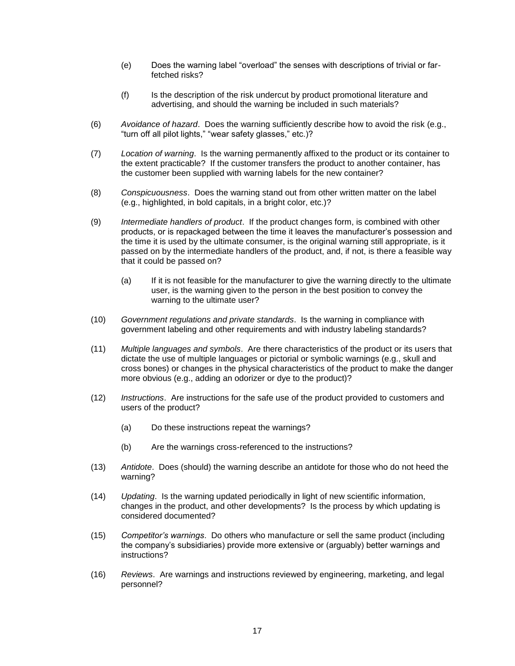- (e) Does the warning label "overload" the senses with descriptions of trivial or farfetched risks?
- (f) Is the description of the risk undercut by product promotional literature and advertising, and should the warning be included in such materials?
- (6) *Avoidance of hazard*. Does the warning sufficiently describe how to avoid the risk (e.g., "turn off all pilot lights," "wear safety glasses," etc.)?
- (7) *Location of warning*. Is the warning permanently affixed to the product or its container to the extent practicable? If the customer transfers the product to another container, has the customer been supplied with warning labels for the new container?
- (8) *Conspicuousness*. Does the warning stand out from other written matter on the label (e.g., highlighted, in bold capitals, in a bright color, etc.)?
- (9) *Intermediate handlers of product*. If the product changes form, is combined with other products, or is repackaged between the time it leaves the manufacturer's possession and the time it is used by the ultimate consumer, is the original warning still appropriate, is it passed on by the intermediate handlers of the product, and, if not, is there a feasible way that it could be passed on?
	- (a) If it is not feasible for the manufacturer to give the warning directly to the ultimate user, is the warning given to the person in the best position to convey the warning to the ultimate user?
- (10) *Government regulations and private standards*. Is the warning in compliance with government labeling and other requirements and with industry labeling standards?
- (11) *Multiple languages and symbols*. Are there characteristics of the product or its users that dictate the use of multiple languages or pictorial or symbolic warnings (e.g., skull and cross bones) or changes in the physical characteristics of the product to make the danger more obvious (e.g., adding an odorizer or dye to the product)?
- (12) *Instructions*. Are instructions for the safe use of the product provided to customers and users of the product?
	- (a) Do these instructions repeat the warnings?
	- (b) Are the warnings cross-referenced to the instructions?
- (13) *Antidote*. Does (should) the warning describe an antidote for those who do not heed the warning?
- (14) *Updating*. Is the warning updated periodically in light of new scientific information, changes in the product, and other developments? Is the process by which updating is considered documented?
- (15) *Competitor's warnings*. Do others who manufacture or sell the same product (including the company's subsidiaries) provide more extensive or (arguably) better warnings and instructions?
- (16) *Reviews*. Are warnings and instructions reviewed by engineering, marketing, and legal personnel?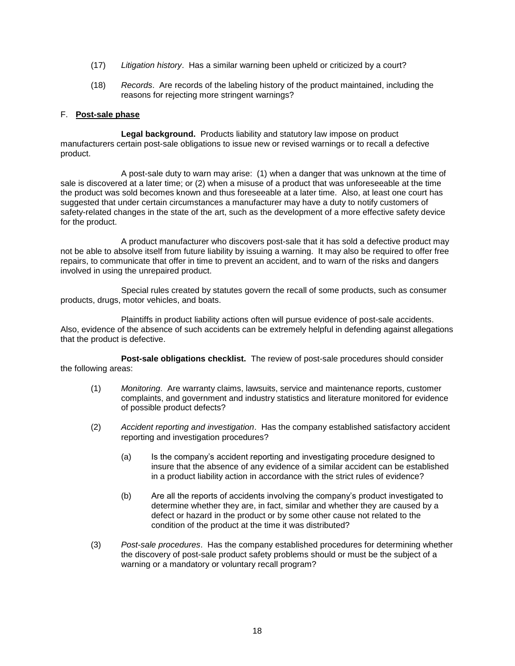- (17) *Litigation history*. Has a similar warning been upheld or criticized by a court?
- (18) *Records*. Are records of the labeling history of the product maintained, including the reasons for rejecting more stringent warnings?

## F. **Post-sale phase**

**Legal background.** Products liability and statutory law impose on product manufacturers certain post-sale obligations to issue new or revised warnings or to recall a defective product.

A post-sale duty to warn may arise: (1) when a danger that was unknown at the time of sale is discovered at a later time; or (2) when a misuse of a product that was unforeseeable at the time the product was sold becomes known and thus foreseeable at a later time. Also, at least one court has suggested that under certain circumstances a manufacturer may have a duty to notify customers of safety-related changes in the state of the art, such as the development of a more effective safety device for the product.

A product manufacturer who discovers post-sale that it has sold a defective product may not be able to absolve itself from future liability by issuing a warning. It may also be required to offer free repairs, to communicate that offer in time to prevent an accident, and to warn of the risks and dangers involved in using the unrepaired product.

Special rules created by statutes govern the recall of some products, such as consumer products, drugs, motor vehicles, and boats.

Plaintiffs in product liability actions often will pursue evidence of post-sale accidents. Also, evidence of the absence of such accidents can be extremely helpful in defending against allegations that the product is defective.

**Post-sale obligations checklist.** The review of post-sale procedures should consider the following areas:

- (1) *Monitoring*. Are warranty claims, lawsuits, service and maintenance reports, customer complaints, and government and industry statistics and literature monitored for evidence of possible product defects?
- (2) *Accident reporting and investigation*. Has the company established satisfactory accident reporting and investigation procedures?
	- (a) Is the company's accident reporting and investigating procedure designed to insure that the absence of any evidence of a similar accident can be established in a product liability action in accordance with the strict rules of evidence?
	- (b) Are all the reports of accidents involving the company's product investigated to determine whether they are, in fact, similar and whether they are caused by a defect or hazard in the product or by some other cause not related to the condition of the product at the time it was distributed?
- (3) *Post-sale procedures*. Has the company established procedures for determining whether the discovery of post-sale product safety problems should or must be the subject of a warning or a mandatory or voluntary recall program?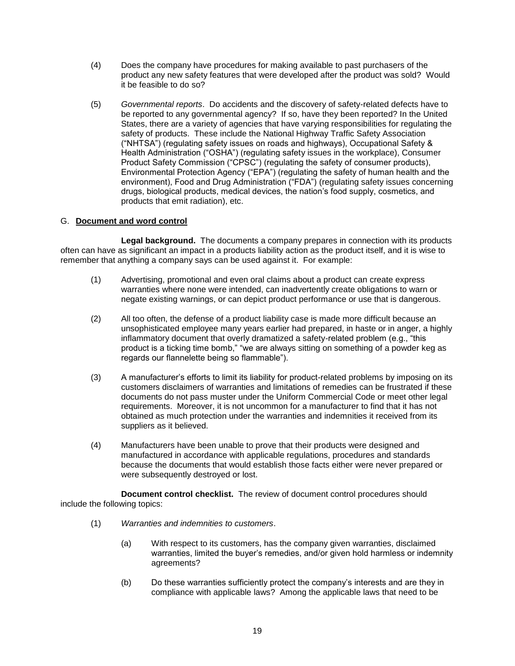- (4) Does the company have procedures for making available to past purchasers of the product any new safety features that were developed after the product was sold? Would it be feasible to do so?
- (5) *Governmental reports*. Do accidents and the discovery of safety-related defects have to be reported to any governmental agency? If so, have they been reported? In the United States, there are a variety of agencies that have varying responsibilities for regulating the safety of products. These include the National Highway Traffic Safety Association ("NHTSA") (regulating safety issues on roads and highways), Occupational Safety & Health Administration ("OSHA") (regulating safety issues in the workplace), Consumer Product Safety Commission ("CPSC") (regulating the safety of consumer products), Environmental Protection Agency ("EPA") (regulating the safety of human health and the environment), Food and Drug Administration ("FDA") (regulating safety issues concerning drugs, biological products, medical devices, the nation's food supply, cosmetics, and products that emit radiation), etc.

# G. **Document and word control**

**Legal background.** The documents a company prepares in connection with its products often can have as significant an impact in a products liability action as the product itself, and it is wise to remember that anything a company says can be used against it. For example:

- (1) Advertising, promotional and even oral claims about a product can create express warranties where none were intended, can inadvertently create obligations to warn or negate existing warnings, or can depict product performance or use that is dangerous.
- (2) All too often, the defense of a product liability case is made more difficult because an unsophisticated employee many years earlier had prepared, in haste or in anger, a highly inflammatory document that overly dramatized a safety-related problem (e.g., "this product is a ticking time bomb," "we are always sitting on something of a powder keg as regards our flannelette being so flammable").
- (3) A manufacturer's efforts to limit its liability for product-related problems by imposing on its customers disclaimers of warranties and limitations of remedies can be frustrated if these documents do not pass muster under the Uniform Commercial Code or meet other legal requirements. Moreover, it is not uncommon for a manufacturer to find that it has not obtained as much protection under the warranties and indemnities it received from its suppliers as it believed.
- (4) Manufacturers have been unable to prove that their products were designed and manufactured in accordance with applicable regulations, procedures and standards because the documents that would establish those facts either were never prepared or were subsequently destroyed or lost.

**Document control checklist.** The review of document control procedures should include the following topics:

- (1) *Warranties and indemnities to customers*.
	- (a) With respect to its customers, has the company given warranties, disclaimed warranties, limited the buyer's remedies, and/or given hold harmless or indemnity agreements?
	- (b) Do these warranties sufficiently protect the company's interests and are they in compliance with applicable laws? Among the applicable laws that need to be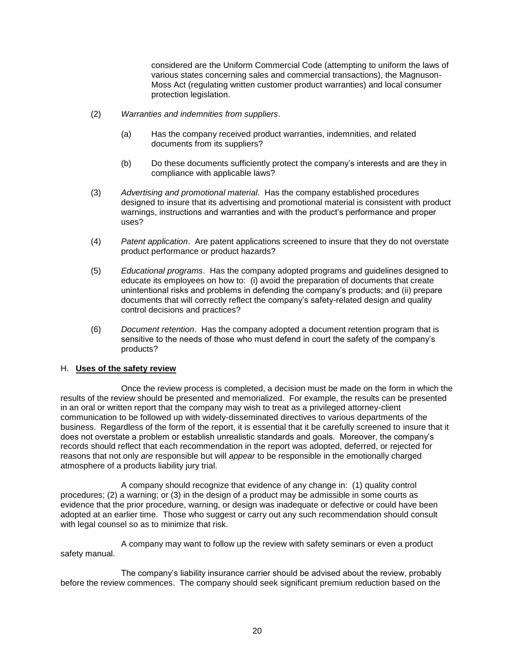considered are the Uniform Commercial Code (attempting to uniform the laws of various states concerning sales and commercial transactions), the Magnuson-Moss Act (regulating written customer product warranties) and local consumer protection legislation.

- (2) *Warranties and indemnities from suppliers*.
	- (a) Has the company received product warranties, indemnities, and related documents from its suppliers?
	- (b) Do these documents sufficiently protect the company's interests and are they in compliance with applicable laws?
- (3) *Advertising and promotional material*. Has the company established procedures designed to insure that its advertising and promotional material is consistent with product warnings, instructions and warranties and with the product's performance and proper uses?
- (4) *Patent application*. Are patent applications screened to insure that they do not overstate product performance or product hazards?
- (5) *Educational programs*. Has the company adopted programs and guidelines designed to educate its employees on how to: (i) avoid the preparation of documents that create unintentional risks and problems in defending the company's products; and (ii) prepare documents that will correctly reflect the company's safety-related design and quality control decisions and practices?
- (6) *Document retention*. Has the company adopted a document retention program that is sensitive to the needs of those who must defend in court the safety of the company's products?

#### H. **Uses of the safety review**

Once the review process is completed, a decision must be made on the form in which the results of the review should be presented and memorialized. For example, the results can be presented in an oral or written report that the company may wish to treat as a privileged attorney-client communication to be followed up with widely-disseminated directives to various departments of the business. Regardless of the form of the report, it is essential that it be carefully screened to insure that it does not overstate a problem or establish unrealistic standards and goals. Moreover, the company's records should reflect that each recommendation in the report was adopted, deferred, or rejected for reasons that not only *are* responsible but will *appear* to be responsible in the emotionally charged atmosphere of a products liability jury trial.

A company should recognize that evidence of any change in: (1) quality control procedures; (2) a warning; or (3) in the design of a product may be admissible in some courts as evidence that the prior procedure, warning, or design was inadequate or defective or could have been adopted at an earlier time. Those who suggest or carry out any such recommendation should consult with legal counsel so as to minimize that risk.

A company may want to follow up the review with safety seminars or even a product safety manual.

The company's liability insurance carrier should be advised about the review, probably before the review commences. The company should seek significant premium reduction based on the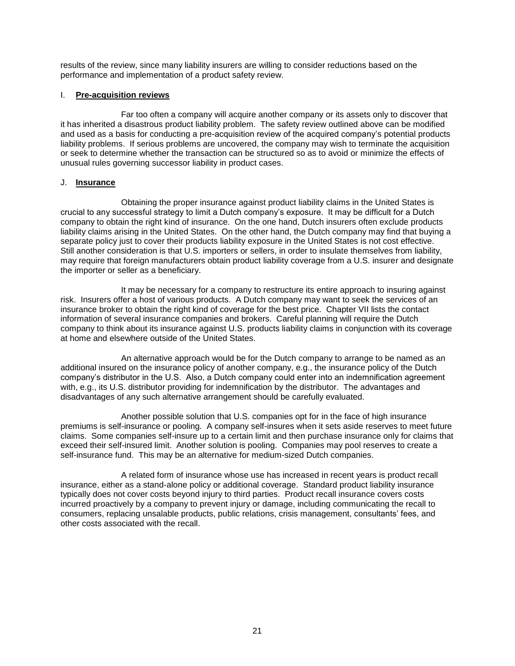results of the review, since many liability insurers are willing to consider reductions based on the performance and implementation of a product safety review.

# I. **Pre-acquisition reviews**

Far too often a company will acquire another company or its assets only to discover that it has inherited a disastrous product liability problem. The safety review outlined above can be modified and used as a basis for conducting a pre-acquisition review of the acquired company's potential products liability problems. If serious problems are uncovered, the company may wish to terminate the acquisition or seek to determine whether the transaction can be structured so as to avoid or minimize the effects of unusual rules governing successor liability in product cases.

# J. **Insurance**

Obtaining the proper insurance against product liability claims in the United States is crucial to any successful strategy to limit a Dutch company's exposure. It may be difficult for a Dutch company to obtain the right kind of insurance. On the one hand, Dutch insurers often exclude products liability claims arising in the United States. On the other hand, the Dutch company may find that buying a separate policy just to cover their products liability exposure in the United States is not cost effective. Still another consideration is that U.S. importers or sellers, in order to insulate themselves from liability, may require that foreign manufacturers obtain product liability coverage from a U.S. insurer and designate the importer or seller as a beneficiary.

It may be necessary for a company to restructure its entire approach to insuring against risk. Insurers offer a host of various products. A Dutch company may want to seek the services of an insurance broker to obtain the right kind of coverage for the best price. Chapter VII lists the contact information of several insurance companies and brokers. Careful planning will require the Dutch company to think about its insurance against U.S. products liability claims in conjunction with its coverage at home and elsewhere outside of the United States.

An alternative approach would be for the Dutch company to arrange to be named as an additional insured on the insurance policy of another company, e.g., the insurance policy of the Dutch company's distributor in the U.S. Also, a Dutch company could enter into an indemnification agreement with, e.g., its U.S. distributor providing for indemnification by the distributor. The advantages and disadvantages of any such alternative arrangement should be carefully evaluated.

Another possible solution that U.S. companies opt for in the face of high insurance premiums is self-insurance or pooling. A company self-insures when it sets aside reserves to meet future claims. Some companies self-insure up to a certain limit and then purchase insurance only for claims that exceed their self-insured limit. Another solution is pooling. Companies may pool reserves to create a self-insurance fund. This may be an alternative for medium-sized Dutch companies.

A related form of insurance whose use has increased in recent years is product recall insurance, either as a stand-alone policy or additional coverage. Standard product liability insurance typically does not cover costs beyond injury to third parties. Product recall insurance covers costs incurred proactively by a company to prevent injury or damage, including communicating the recall to consumers, replacing unsalable products, public relations, crisis management, consultants' fees, and other costs associated with the recall.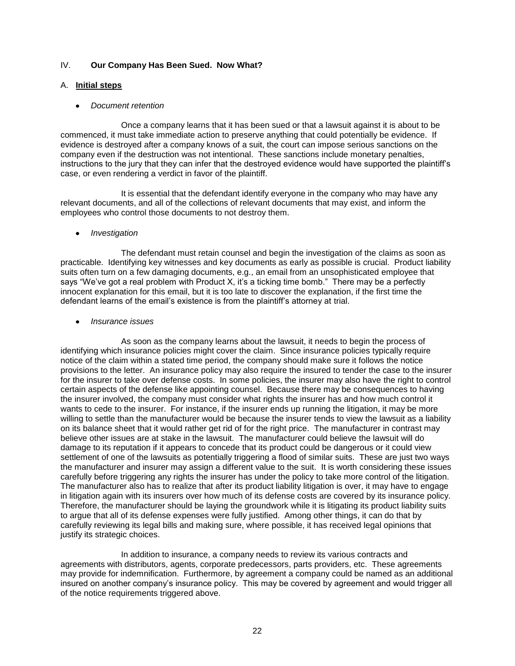# IV. **Our Company Has Been Sued. Now What?**

## A. **Initial steps**

#### *Document retention*

Once a company learns that it has been sued or that a lawsuit against it is about to be commenced, it must take immediate action to preserve anything that could potentially be evidence. If evidence is destroyed after a company knows of a suit, the court can impose serious sanctions on the company even if the destruction was not intentional. These sanctions include monetary penalties, instructions to the jury that they can infer that the destroyed evidence would have supported the plaintiff's case, or even rendering a verdict in favor of the plaintiff.

It is essential that the defendant identify everyone in the company who may have any relevant documents, and all of the collections of relevant documents that may exist, and inform the employees who control those documents to not destroy them.

#### *Investigation*

The defendant must retain counsel and begin the investigation of the claims as soon as practicable. Identifying key witnesses and key documents as early as possible is crucial. Product liability suits often turn on a few damaging documents, e.g., an email from an unsophisticated employee that says "We've got a real problem with Product X, it's a ticking time bomb." There may be a perfectly innocent explanation for this email, but it is too late to discover the explanation, if the first time the defendant learns of the email's existence is from the plaintiff's attorney at trial.

#### *Insurance issues*

As soon as the company learns about the lawsuit, it needs to begin the process of identifying which insurance policies might cover the claim. Since insurance policies typically require notice of the claim within a stated time period, the company should make sure it follows the notice provisions to the letter. An insurance policy may also require the insured to tender the case to the insurer for the insurer to take over defense costs. In some policies, the insurer may also have the right to control certain aspects of the defense like appointing counsel. Because there may be consequences to having the insurer involved, the company must consider what rights the insurer has and how much control it wants to cede to the insurer. For instance, if the insurer ends up running the litigation, it may be more willing to settle than the manufacturer would be because the insurer tends to view the lawsuit as a liability on its balance sheet that it would rather get rid of for the right price. The manufacturer in contrast may believe other issues are at stake in the lawsuit. The manufacturer could believe the lawsuit will do damage to its reputation if it appears to concede that its product could be dangerous or it could view settlement of one of the lawsuits as potentially triggering a flood of similar suits. These are just two ways the manufacturer and insurer may assign a different value to the suit. It is worth considering these issues carefully before triggering any rights the insurer has under the policy to take more control of the litigation. The manufacturer also has to realize that after its product liability litigation is over, it may have to engage in litigation again with its insurers over how much of its defense costs are covered by its insurance policy. Therefore, the manufacturer should be laying the groundwork while it is litigating its product liability suits to argue that all of its defense expenses were fully justified. Among other things, it can do that by carefully reviewing its legal bills and making sure, where possible, it has received legal opinions that justify its strategic choices.

In addition to insurance, a company needs to review its various contracts and agreements with distributors, agents, corporate predecessors, parts providers, etc. These agreements may provide for indemnification. Furthermore, by agreement a company could be named as an additional insured on another company's insurance policy. This may be covered by agreement and would trigger all of the notice requirements triggered above.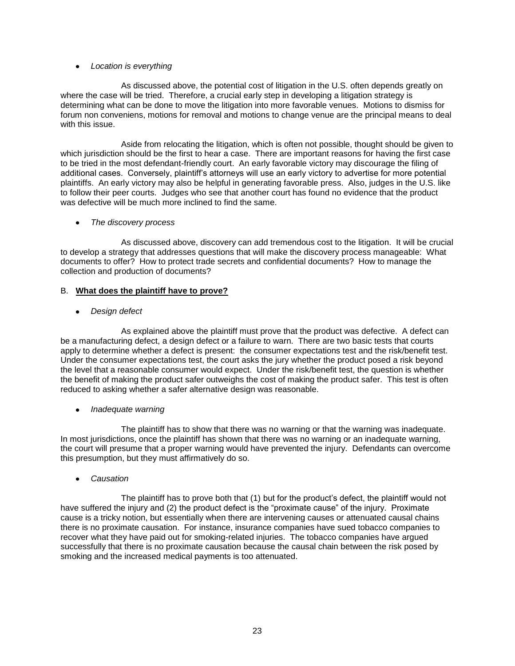# *Location is everything*

As discussed above, the potential cost of litigation in the U.S. often depends greatly on where the case will be tried. Therefore, a crucial early step in developing a litigation strategy is determining what can be done to move the litigation into more favorable venues. Motions to dismiss for forum non conveniens, motions for removal and motions to change venue are the principal means to deal with this issue.

Aside from relocating the litigation, which is often not possible, thought should be given to which jurisdiction should be the first to hear a case. There are important reasons for having the first case to be tried in the most defendant-friendly court. An early favorable victory may discourage the filing of additional cases. Conversely, plaintiff's attorneys will use an early victory to advertise for more potential plaintiffs. An early victory may also be helpful in generating favorable press. Also, judges in the U.S. like to follow their peer courts. Judges who see that another court has found no evidence that the product was defective will be much more inclined to find the same.

# *The discovery process*

As discussed above, discovery can add tremendous cost to the litigation. It will be crucial to develop a strategy that addresses questions that will make the discovery process manageable: What documents to offer? How to protect trade secrets and confidential documents? How to manage the collection and production of documents?

# B. **What does the plaintiff have to prove?**

# *Design defect*

As explained above the plaintiff must prove that the product was defective. A defect can be a manufacturing defect, a design defect or a failure to warn. There are two basic tests that courts apply to determine whether a defect is present: the consumer expectations test and the risk/benefit test. Under the consumer expectations test, the court asks the jury whether the product posed a risk beyond the level that a reasonable consumer would expect. Under the risk/benefit test, the question is whether the benefit of making the product safer outweighs the cost of making the product safer. This test is often reduced to asking whether a safer alternative design was reasonable.

# *Inadequate warning*

The plaintiff has to show that there was no warning or that the warning was inadequate. In most jurisdictions, once the plaintiff has shown that there was no warning or an inadequate warning, the court will presume that a proper warning would have prevented the injury. Defendants can overcome this presumption, but they must affirmatively do so.

*Causation*

The plaintiff has to prove both that (1) but for the product's defect, the plaintiff would not have suffered the injury and (2) the product defect is the "proximate cause" of the injury. Proximate cause is a tricky notion, but essentially when there are intervening causes or attenuated causal chains there is no proximate causation. For instance, insurance companies have sued tobacco companies to recover what they have paid out for smoking-related injuries. The tobacco companies have argued successfully that there is no proximate causation because the causal chain between the risk posed by smoking and the increased medical payments is too attenuated.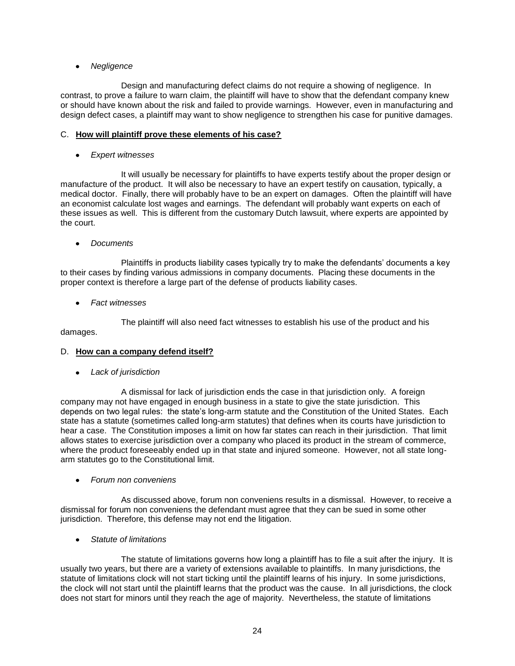# *Negligence*

Design and manufacturing defect claims do not require a showing of negligence. In contrast, to prove a failure to warn claim, the plaintiff will have to show that the defendant company knew or should have known about the risk and failed to provide warnings. However, even in manufacturing and design defect cases, a plaintiff may want to show negligence to strengthen his case for punitive damages.

# C. **How will plaintiff prove these elements of his case?**

*Expert witnesses*

It will usually be necessary for plaintiffs to have experts testify about the proper design or manufacture of the product. It will also be necessary to have an expert testify on causation, typically, a medical doctor. Finally, there will probably have to be an expert on damages. Often the plaintiff will have an economist calculate lost wages and earnings. The defendant will probably want experts on each of these issues as well. This is different from the customary Dutch lawsuit, where experts are appointed by the court.

*Documents*

Plaintiffs in products liability cases typically try to make the defendants' documents a key to their cases by finding various admissions in company documents. Placing these documents in the proper context is therefore a large part of the defense of products liability cases.

*Fact witnesses*

The plaintiff will also need fact witnesses to establish his use of the product and his damages.

# D. **How can a company defend itself?**

*Lack of jurisdiction*

A dismissal for lack of jurisdiction ends the case in that jurisdiction only. A foreign company may not have engaged in enough business in a state to give the state jurisdiction. This depends on two legal rules: the state's long-arm statute and the Constitution of the United States. Each state has a statute (sometimes called long-arm statutes) that defines when its courts have jurisdiction to hear a case. The Constitution imposes a limit on how far states can reach in their jurisdiction. That limit allows states to exercise jurisdiction over a company who placed its product in the stream of commerce, where the product foreseeably ended up in that state and injured someone. However, not all state longarm statutes go to the Constitutional limit.

*Forum non conveniens*

As discussed above, forum non conveniens results in a dismissal. However, to receive a dismissal for forum non conveniens the defendant must agree that they can be sued in some other jurisdiction. Therefore, this defense may not end the litigation.

*Statute of limitations*

The statute of limitations governs how long a plaintiff has to file a suit after the injury. It is usually two years, but there are a variety of extensions available to plaintiffs. In many jurisdictions, the statute of limitations clock will not start ticking until the plaintiff learns of his injury. In some jurisdictions, the clock will not start until the plaintiff learns that the product was the cause. In all jurisdictions, the clock does not start for minors until they reach the age of majority. Nevertheless, the statute of limitations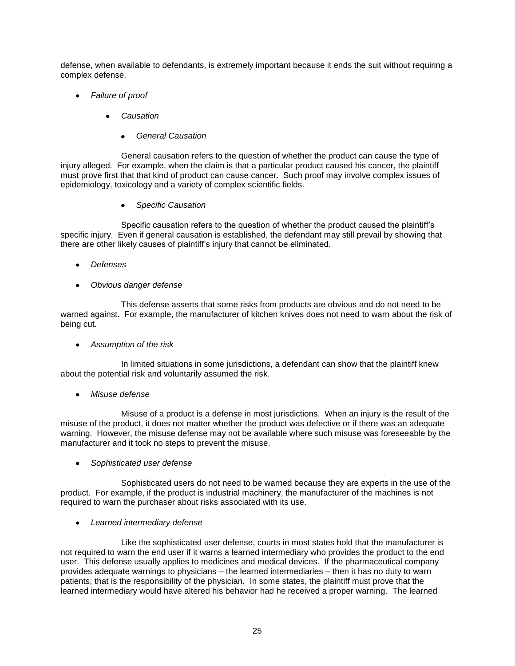defense, when available to defendants, is extremely important because it ends the suit without requiring a complex defense.

- *Failure of proof*
	- *Causation*
		- *General Causation*

General causation refers to the question of whether the product can cause the type of injury alleged. For example, when the claim is that a particular product caused his cancer, the plaintiff must prove first that that kind of product can cause cancer. Such proof may involve complex issues of epidemiology, toxicology and a variety of complex scientific fields.

*Specific Causation*

Specific causation refers to the question of whether the product caused the plaintiff's specific injury. Even if general causation is established, the defendant may still prevail by showing that there are other likely causes of plaintiff's injury that cannot be eliminated.

- *Defenses*
- *Obvious danger defense*

This defense asserts that some risks from products are obvious and do not need to be warned against. For example, the manufacturer of kitchen knives does not need to warn about the risk of being cut.

*Assumption of the risk*

In limited situations in some jurisdictions, a defendant can show that the plaintiff knew about the potential risk and voluntarily assumed the risk.

*Misuse defense*

Misuse of a product is a defense in most jurisdictions. When an injury is the result of the misuse of the product, it does not matter whether the product was defective or if there was an adequate warning. However, the misuse defense may not be available where such misuse was foreseeable by the manufacturer and it took no steps to prevent the misuse.

*Sophisticated user defense*

Sophisticated users do not need to be warned because they are experts in the use of the product. For example, if the product is industrial machinery, the manufacturer of the machines is not required to warn the purchaser about risks associated with its use.

*Learned intermediary defense*

Like the sophisticated user defense, courts in most states hold that the manufacturer is not required to warn the end user if it warns a learned intermediary who provides the product to the end user. This defense usually applies to medicines and medical devices. If the pharmaceutical company provides adequate warnings to physicians – the learned intermediaries – then it has no duty to warn patients; that is the responsibility of the physician. In some states, the plaintiff must prove that the learned intermediary would have altered his behavior had he received a proper warning. The learned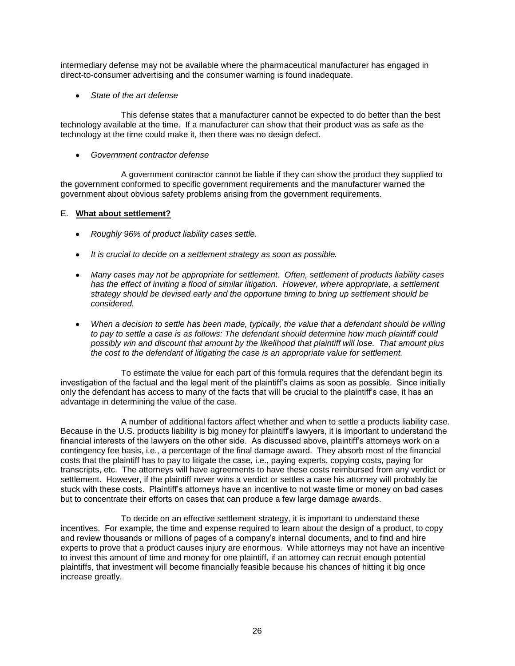intermediary defense may not be available where the pharmaceutical manufacturer has engaged in direct-to-consumer advertising and the consumer warning is found inadequate.

*State of the art defense*

This defense states that a manufacturer cannot be expected to do better than the best technology available at the time. If a manufacturer can show that their product was as safe as the technology at the time could make it, then there was no design defect.

*Government contractor defense*

A government contractor cannot be liable if they can show the product they supplied to the government conformed to specific government requirements and the manufacturer warned the government about obvious safety problems arising from the government requirements.

# E. **What about settlement?**

- *Roughly 96% of product liability cases settle.*
- *It is crucial to decide on a settlement strategy as soon as possible.*
- *Many cases may not be appropriate for settlement. Often, settlement of products liability cases*  has the effect of inviting a flood of similar litigation. However, where appropriate, a settlement *strategy should be devised early and the opportune timing to bring up settlement should be considered.*
- *When a decision to settle has been made, typically, the value that a defendant should be willing to pay to settle a case is as follows: The defendant should determine how much plaintiff could possibly win and discount that amount by the likelihood that plaintiff will lose. That amount plus the cost to the defendant of litigating the case is an appropriate value for settlement.*

To estimate the value for each part of this formula requires that the defendant begin its investigation of the factual and the legal merit of the plaintiff's claims as soon as possible. Since initially only the defendant has access to many of the facts that will be crucial to the plaintiff's case, it has an advantage in determining the value of the case.

A number of additional factors affect whether and when to settle a products liability case. Because in the U.S. products liability is big money for plaintiff's lawyers, it is important to understand the financial interests of the lawyers on the other side. As discussed above, plaintiff's attorneys work on a contingency fee basis, i.e., a percentage of the final damage award. They absorb most of the financial costs that the plaintiff has to pay to litigate the case, i.e., paying experts, copying costs, paying for transcripts, etc. The attorneys will have agreements to have these costs reimbursed from any verdict or settlement. However, if the plaintiff never wins a verdict or settles a case his attorney will probably be stuck with these costs. Plaintiff's attorneys have an incentive to not waste time or money on bad cases but to concentrate their efforts on cases that can produce a few large damage awards.

To decide on an effective settlement strategy, it is important to understand these incentives. For example, the time and expense required to learn about the design of a product, to copy and review thousands or millions of pages of a company's internal documents, and to find and hire experts to prove that a product causes injury are enormous. While attorneys may not have an incentive to invest this amount of time and money for one plaintiff, if an attorney can recruit enough potential plaintiffs, that investment will become financially feasible because his chances of hitting it big once increase greatly.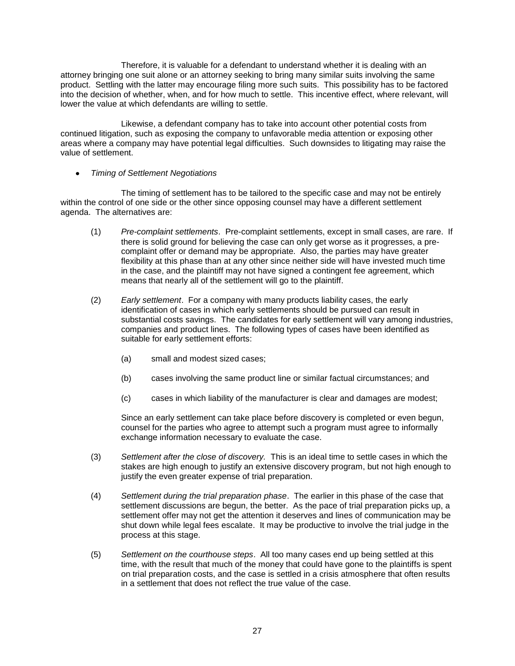Therefore, it is valuable for a defendant to understand whether it is dealing with an attorney bringing one suit alone or an attorney seeking to bring many similar suits involving the same product. Settling with the latter may encourage filing more such suits. This possibility has to be factored into the decision of whether, when, and for how much to settle. This incentive effect, where relevant, will lower the value at which defendants are willing to settle.

Likewise, a defendant company has to take into account other potential costs from continued litigation, such as exposing the company to unfavorable media attention or exposing other areas where a company may have potential legal difficulties. Such downsides to litigating may raise the value of settlement.

*Timing of Settlement Negotiations*

The timing of settlement has to be tailored to the specific case and may not be entirely within the control of one side or the other since opposing counsel may have a different settlement agenda. The alternatives are:

- (1) *Pre-complaint settlements*. Pre-complaint settlements, except in small cases, are rare. If there is solid ground for believing the case can only get worse as it progresses, a precomplaint offer or demand may be appropriate. Also, the parties may have greater flexibility at this phase than at any other since neither side will have invested much time in the case, and the plaintiff may not have signed a contingent fee agreement, which means that nearly all of the settlement will go to the plaintiff.
- (2) *Early settlement*. For a company with many products liability cases, the early identification of cases in which early settlements should be pursued can result in substantial costs savings. The candidates for early settlement will vary among industries, companies and product lines. The following types of cases have been identified as suitable for early settlement efforts:
	- (a) small and modest sized cases;
	- (b) cases involving the same product line or similar factual circumstances; and
	- (c) cases in which liability of the manufacturer is clear and damages are modest;

Since an early settlement can take place before discovery is completed or even begun, counsel for the parties who agree to attempt such a program must agree to informally exchange information necessary to evaluate the case.

- (3) *Settlement after the close of discovery.* This is an ideal time to settle cases in which the stakes are high enough to justify an extensive discovery program, but not high enough to justify the even greater expense of trial preparation.
- (4) *Settlement during the trial preparation phase*. The earlier in this phase of the case that settlement discussions are begun, the better. As the pace of trial preparation picks up, a settlement offer may not get the attention it deserves and lines of communication may be shut down while legal fees escalate. It may be productive to involve the trial judge in the process at this stage.
- (5) *Settlement on the courthouse steps*. All too many cases end up being settled at this time, with the result that much of the money that could have gone to the plaintiffs is spent on trial preparation costs, and the case is settled in a crisis atmosphere that often results in a settlement that does not reflect the true value of the case.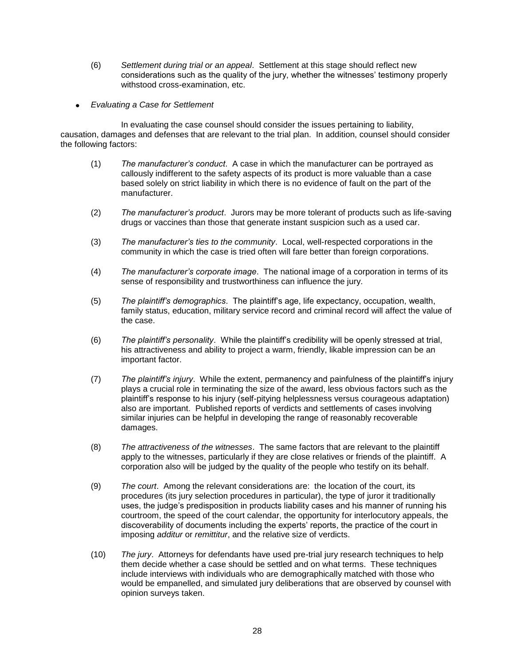- (6) *Settlement during trial or an appeal*. Settlement at this stage should reflect new considerations such as the quality of the jury, whether the witnesses' testimony properly withstood cross-examination, etc.
- *Evaluating a Case for Settlement*

In evaluating the case counsel should consider the issues pertaining to liability, causation, damages and defenses that are relevant to the trial plan. In addition, counsel should consider the following factors:

- (1) *The manufacturer's conduct*. A case in which the manufacturer can be portrayed as callously indifferent to the safety aspects of its product is more valuable than a case based solely on strict liability in which there is no evidence of fault on the part of the manufacturer.
- (2) *The manufacturer's product*. Jurors may be more tolerant of products such as life-saving drugs or vaccines than those that generate instant suspicion such as a used car.
- (3) *The manufacturer's ties to the community*. Local, well-respected corporations in the community in which the case is tried often will fare better than foreign corporations.
- (4) *The manufacturer's corporate image*. The national image of a corporation in terms of its sense of responsibility and trustworthiness can influence the jury.
- (5) *The plaintiff's demographics*. The plaintiff's age, life expectancy, occupation, wealth, family status, education, military service record and criminal record will affect the value of the case.
- (6) *The plaintiff's personality*. While the plaintiff's credibility will be openly stressed at trial, his attractiveness and ability to project a warm, friendly, likable impression can be an important factor.
- (7) *The plaintiff's injury*. While the extent, permanency and painfulness of the plaintiff's injury plays a crucial role in terminating the size of the award, less obvious factors such as the plaintiff's response to his injury (self-pitying helplessness versus courageous adaptation) also are important. Published reports of verdicts and settlements of cases involving similar injuries can be helpful in developing the range of reasonably recoverable damages.
- (8) *The attractiveness of the witnesses*. The same factors that are relevant to the plaintiff apply to the witnesses, particularly if they are close relatives or friends of the plaintiff. A corporation also will be judged by the quality of the people who testify on its behalf.
- (9) *The court*. Among the relevant considerations are: the location of the court, its procedures (its jury selection procedures in particular), the type of juror it traditionally uses, the judge's predisposition in products liability cases and his manner of running his courtroom, the speed of the court calendar, the opportunity for interlocutory appeals, the discoverability of documents including the experts' reports, the practice of the court in imposing *additur* or *remittitur*, and the relative size of verdicts.
- (10) *The jury*. Attorneys for defendants have used pre-trial jury research techniques to help them decide whether a case should be settled and on what terms. These techniques include interviews with individuals who are demographically matched with those who would be empanelled, and simulated jury deliberations that are observed by counsel with opinion surveys taken.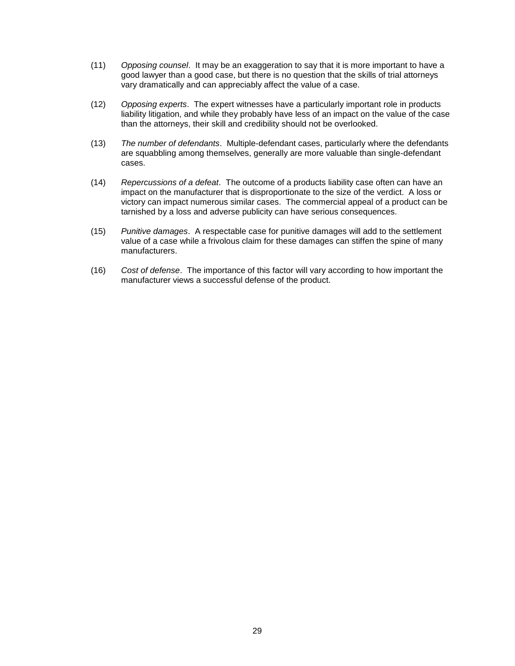- (11) *Opposing counsel*. It may be an exaggeration to say that it is more important to have a good lawyer than a good case, but there is no question that the skills of trial attorneys vary dramatically and can appreciably affect the value of a case.
- (12) *Opposing experts*. The expert witnesses have a particularly important role in products liability litigation, and while they probably have less of an impact on the value of the case than the attorneys, their skill and credibility should not be overlooked.
- (13) *The number of defendants*. Multiple-defendant cases, particularly where the defendants are squabbling among themselves, generally are more valuable than single-defendant cases.
- (14) *Repercussions of a defeat*. The outcome of a products liability case often can have an impact on the manufacturer that is disproportionate to the size of the verdict. A loss or victory can impact numerous similar cases. The commercial appeal of a product can be tarnished by a loss and adverse publicity can have serious consequences.
- (15) *Punitive damages*. A respectable case for punitive damages will add to the settlement value of a case while a frivolous claim for these damages can stiffen the spine of many manufacturers.
- (16) *Cost of defense*. The importance of this factor will vary according to how important the manufacturer views a successful defense of the product.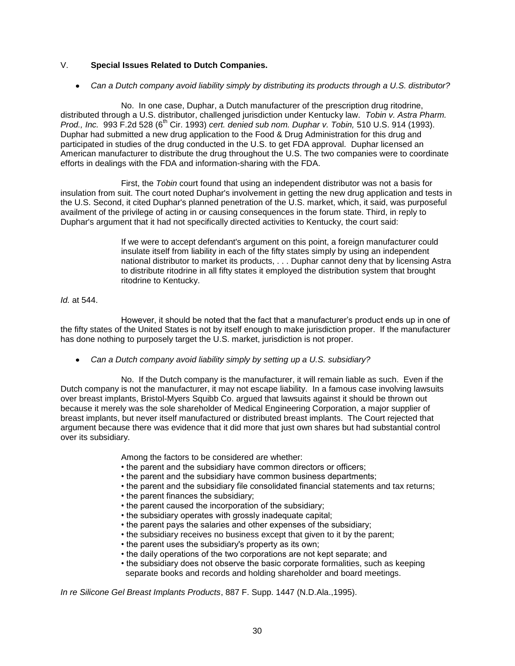# V. **Special Issues Related to Dutch Companies.**

*Can a Dutch company avoid liability simply by distributing its products through a U.S. distributor?*

No. In one case, Duphar, a Dutch manufacturer of the prescription drug ritodrine, distributed through a U.S. distributor, challenged jurisdiction under Kentucky law. *Tobin v. Astra Pharm. Prod., Inc.* 993 F.2d 528 (6<sup>th</sup> Cir. 1993) *cert. denied sub nom. Duphar v. Tobin,* 510 U.S. 914 (1993). Duphar had submitted a new drug application to the Food & Drug Administration for this drug and participated in studies of the drug conducted in the U.S. to get FDA approval. Duphar licensed an American manufacturer to distribute the drug throughout the U.S. The two companies were to coordinate efforts in dealings with the FDA and information-sharing with the FDA.

First, the *Tobin* court found that using an independent distributor was not a basis for insulation from suit. The court noted Duphar's involvement in getting the new drug application and tests in the U.S. Second, it cited Duphar's planned penetration of the U.S. market, which, it said, was purposeful availment of the privilege of acting in or causing consequences in the forum state. Third, in reply to Duphar's argument that it had not specifically directed activities to Kentucky, the court said:

> If we were to accept defendant's argument on this point, a foreign manufacturer could insulate itself from liability in each of the fifty states simply by using an independent national distributor to market its products, . . . Duphar cannot deny that by licensing Astra to distribute ritodrine in all fifty states it employed the distribution system that brought ritodrine to Kentucky.

#### *Id.* at 544.

However, it should be noted that the fact that a manufacturer's product ends up in one of the fifty states of the United States is not by itself enough to make jurisdiction proper. If the manufacturer has done nothing to purposely target the U.S. market, jurisdiction is not proper.

*Can a Dutch company avoid liability simply by setting up a U.S. subsidiary?*

No. If the Dutch company is the manufacturer, it will remain liable as such. Even if the Dutch company is not the manufacturer, it may not escape liability. In a famous case involving lawsuits over breast implants, Bristol-Myers Squibb Co. argued that lawsuits against it should be thrown out because it merely was the sole shareholder of Medical Engineering Corporation, a major supplier of breast implants, but never itself manufactured or distributed breast implants. The Court rejected that argument because there was evidence that it did more that just own shares but had substantial control over its subsidiary.

Among the factors to be considered are whether:

- the parent and the subsidiary have common directors or officers;
- the parent and the subsidiary have common business departments;
- the parent and the subsidiary file consolidated financial statements and tax returns;
- the parent finances the subsidiary;
- the parent caused the incorporation of the subsidiary;
- the subsidiary operates with grossly inadequate capital;
- the parent pays the salaries and other expenses of the subsidiary;
- the subsidiary receives no business except that given to it by the parent;
- the parent uses the subsidiary's property as its own;
- the daily operations of the two corporations are not kept separate; and
- the subsidiary does not observe the basic corporate formalities, such as keeping separate books and records and holding shareholder and board meetings.

*In re Silicone Gel Breast Implants Products*, 887 F. Supp. 1447 (N.D.Ala.,1995).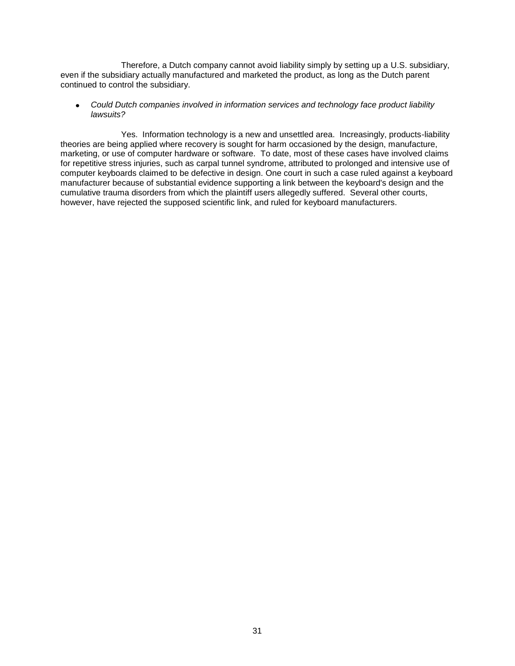Therefore, a Dutch company cannot avoid liability simply by setting up a U.S. subsidiary, even if the subsidiary actually manufactured and marketed the product, as long as the Dutch parent continued to control the subsidiary.

*Could Dutch companies involved in information services and technology face product liability*   $\bullet$ *lawsuits?*

Yes. Information technology is a new and unsettled area. Increasingly, products-liability theories are being applied where recovery is sought for harm occasioned by the design, manufacture, marketing, or use of computer hardware or software. To date, most of these cases have involved claims for repetitive stress injuries, such as carpal tunnel syndrome, attributed to prolonged and intensive use of computer keyboards claimed to be defective in design. One court in such a case ruled against a keyboard manufacturer because of substantial evidence supporting a link between the keyboard's design and the cumulative trauma disorders from which the plaintiff users allegedly suffered. Several other courts, however, have rejected the supposed scientific link, and ruled for keyboard manufacturers.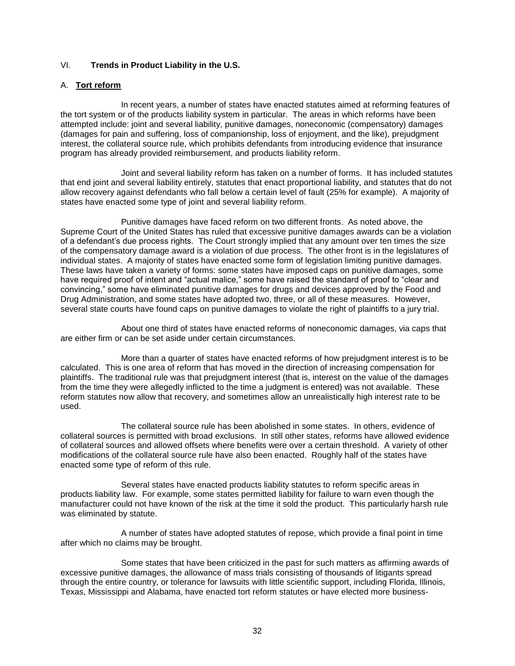# VI. **Trends in Product Liability in the U.S.**

## A. **Tort reform**

In recent years, a number of states have enacted statutes aimed at reforming features of the tort system or of the products liability system in particular. The areas in which reforms have been attempted include: joint and several liability, punitive damages, noneconomic (compensatory) damages (damages for pain and suffering, loss of companionship, loss of enjoyment, and the like), prejudgment interest, the collateral source rule, which prohibits defendants from introducing evidence that insurance program has already provided reimbursement, and products liability reform.

Joint and several liability reform has taken on a number of forms. It has included statutes that end joint and several liability entirely, statutes that enact proportional liability, and statutes that do not allow recovery against defendants who fall below a certain level of fault (25% for example). A majority of states have enacted some type of joint and several liability reform.

Punitive damages have faced reform on two different fronts. As noted above, the Supreme Court of the United States has ruled that excessive punitive damages awards can be a violation of a defendant's due process rights. The Court strongly implied that any amount over ten times the size of the compensatory damage award is a violation of due process. The other front is in the legislatures of individual states. A majority of states have enacted some form of legislation limiting punitive damages. These laws have taken a variety of forms: some states have imposed caps on punitive damages, some have required proof of intent and "actual malice," some have raised the standard of proof to "clear and convincing," some have eliminated punitive damages for drugs and devices approved by the Food and Drug Administration, and some states have adopted two, three, or all of these measures. However, several state courts have found caps on punitive damages to violate the right of plaintiffs to a jury trial.

About one third of states have enacted reforms of noneconomic damages, via caps that are either firm or can be set aside under certain circumstances.

More than a quarter of states have enacted reforms of how prejudgment interest is to be calculated. This is one area of reform that has moved in the direction of increasing compensation for plaintiffs. The traditional rule was that prejudgment interest (that is, interest on the value of the damages from the time they were allegedly inflicted to the time a judgment is entered) was not available. These reform statutes now allow that recovery, and sometimes allow an unrealistically high interest rate to be used.

The collateral source rule has been abolished in some states. In others, evidence of collateral sources is permitted with broad exclusions. In still other states, reforms have allowed evidence of collateral sources and allowed offsets where benefits were over a certain threshold. A variety of other modifications of the collateral source rule have also been enacted. Roughly half of the states have enacted some type of reform of this rule.

Several states have enacted products liability statutes to reform specific areas in products liability law. For example, some states permitted liability for failure to warn even though the manufacturer could not have known of the risk at the time it sold the product. This particularly harsh rule was eliminated by statute.

A number of states have adopted statutes of repose, which provide a final point in time after which no claims may be brought.

Some states that have been criticized in the past for such matters as affirming awards of excessive punitive damages, the allowance of mass trials consisting of thousands of litigants spread through the entire country, or tolerance for lawsuits with little scientific support, including Florida, Illinois, Texas, Mississippi and Alabama, have enacted tort reform statutes or have elected more business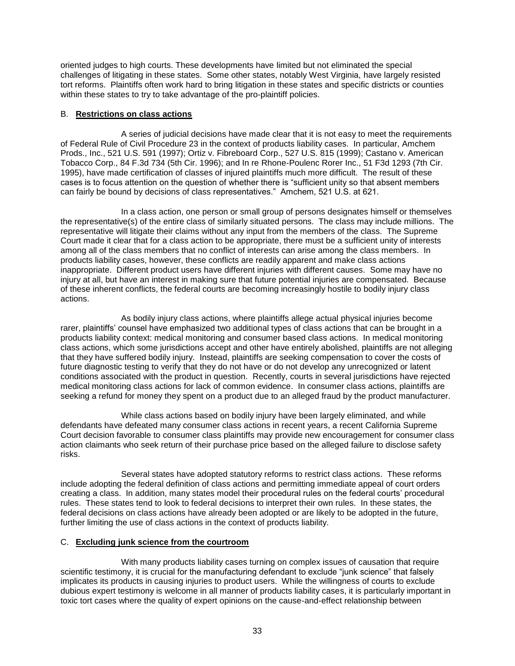oriented judges to high courts. These developments have limited but not eliminated the special challenges of litigating in these states. Some other states, notably West Virginia, have largely resisted tort reforms. Plaintiffs often work hard to bring litigation in these states and specific districts or counties within these states to try to take advantage of the pro-plaintiff policies.

# B. **Restrictions on class actions**

A series of judicial decisions have made clear that it is not easy to meet the requirements of Federal Rule of Civil Procedure 23 in the context of products liability cases. In particular, Amchem Prods., Inc., 521 U.S. 591 (1997); Ortiz v. Fibreboard Corp., 527 U.S. 815 (1999); Castano v. American Tobacco Corp., 84 F.3d 734 (5th Cir. 1996); and In re Rhone-Poulenc Rorer Inc., 51 F3d 1293 (7th Cir. 1995), have made certification of classes of injured plaintiffs much more difficult. The result of these cases is to focus attention on the question of whether there is "sufficient unity so that absent members can fairly be bound by decisions of class representatives.‖ Amchem, 521 U.S. at 621.

In a class action, one person or small group of persons designates himself or themselves the representative(s) of the entire class of similarly situated persons. The class may include millions. The representative will litigate their claims without any input from the members of the class. The Supreme Court made it clear that for a class action to be appropriate, there must be a sufficient unity of interests among all of the class members that no conflict of interests can arise among the class members. In products liability cases, however, these conflicts are readily apparent and make class actions inappropriate. Different product users have different injuries with different causes. Some may have no injury at all, but have an interest in making sure that future potential injuries are compensated. Because of these inherent conflicts, the federal courts are becoming increasingly hostile to bodily injury class actions.

As bodily injury class actions, where plaintiffs allege actual physical injuries become rarer, plaintiffs' counsel have emphasized two additional types of class actions that can be brought in a products liability context: medical monitoring and consumer based class actions. In medical monitoring class actions, which some jurisdictions accept and other have entirely abolished, plaintiffs are not alleging that they have suffered bodily injury. Instead, plaintiffs are seeking compensation to cover the costs of future diagnostic testing to verify that they do not have or do not develop any unrecognized or latent conditions associated with the product in question. Recently, courts in several jurisdictions have rejected medical monitoring class actions for lack of common evidence. In consumer class actions, plaintiffs are seeking a refund for money they spent on a product due to an alleged fraud by the product manufacturer.

While class actions based on bodily injury have been largely eliminated, and while defendants have defeated many consumer class actions in recent years, a recent California Supreme Court decision favorable to consumer class plaintiffs may provide new encouragement for consumer class action claimants who seek return of their purchase price based on the alleged failure to disclose safety risks.

Several states have adopted statutory reforms to restrict class actions. These reforms include adopting the federal definition of class actions and permitting immediate appeal of court orders creating a class. In addition, many states model their procedural rules on the federal courts' procedural rules. These states tend to look to federal decisions to interpret their own rules. In these states, the federal decisions on class actions have already been adopted or are likely to be adopted in the future, further limiting the use of class actions in the context of products liability.

#### C. **Excluding junk science from the courtroom**

With many products liability cases turning on complex issues of causation that require scientific testimony, it is crucial for the manufacturing defendant to exclude "junk science" that falsely implicates its products in causing injuries to product users. While the willingness of courts to exclude dubious expert testimony is welcome in all manner of products liability cases, it is particularly important in toxic tort cases where the quality of expert opinions on the cause-and-effect relationship between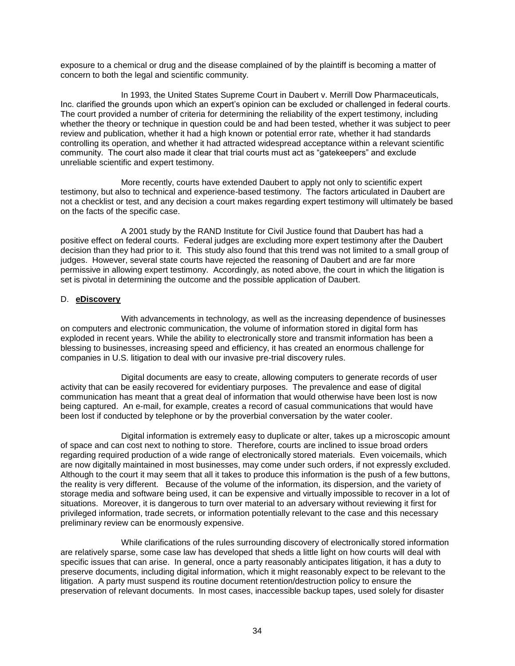exposure to a chemical or drug and the disease complained of by the plaintiff is becoming a matter of concern to both the legal and scientific community.

In 1993, the United States Supreme Court in Daubert v. Merrill Dow Pharmaceuticals, Inc. clarified the grounds upon which an expert's opinion can be excluded or challenged in federal courts. The court provided a number of criteria for determining the reliability of the expert testimony, including whether the theory or technique in question could be and had been tested, whether it was subject to peer review and publication, whether it had a high known or potential error rate, whether it had standards controlling its operation, and whether it had attracted widespread acceptance within a relevant scientific community. The court also made it clear that trial courts must act as "gatekeepers" and exclude unreliable scientific and expert testimony.

More recently, courts have extended Daubert to apply not only to scientific expert testimony, but also to technical and experience-based testimony. The factors articulated in Daubert are not a checklist or test, and any decision a court makes regarding expert testimony will ultimately be based on the facts of the specific case.

A 2001 study by the RAND Institute for Civil Justice found that Daubert has had a positive effect on federal courts. Federal judges are excluding more expert testimony after the Daubert decision than they had prior to it. This study also found that this trend was not limited to a small group of judges. However, several state courts have rejected the reasoning of Daubert and are far more permissive in allowing expert testimony. Accordingly, as noted above, the court in which the litigation is set is pivotal in determining the outcome and the possible application of Daubert.

# D. **eDiscovery**

With advancements in technology, as well as the increasing dependence of businesses on computers and electronic communication, the volume of information stored in digital form has exploded in recent years. While the ability to electronically store and transmit information has been a blessing to businesses, increasing speed and efficiency, it has created an enormous challenge for companies in U.S. litigation to deal with our invasive pre-trial discovery rules.

Digital documents are easy to create, allowing computers to generate records of user activity that can be easily recovered for evidentiary purposes. The prevalence and ease of digital communication has meant that a great deal of information that would otherwise have been lost is now being captured. An e-mail, for example, creates a record of casual communications that would have been lost if conducted by telephone or by the proverbial conversation by the water cooler.

Digital information is extremely easy to duplicate or alter, takes up a microscopic amount of space and can cost next to nothing to store. Therefore, courts are inclined to issue broad orders regarding required production of a wide range of electronically stored materials. Even voicemails, which are now digitally maintained in most businesses, may come under such orders, if not expressly excluded. Although to the court it may seem that all it takes to produce this information is the push of a few buttons, the reality is very different. Because of the volume of the information, its dispersion, and the variety of storage media and software being used, it can be expensive and virtually impossible to recover in a lot of situations. Moreover, it is dangerous to turn over material to an adversary without reviewing it first for privileged information, trade secrets, or information potentially relevant to the case and this necessary preliminary review can be enormously expensive.

While clarifications of the rules surrounding discovery of electronically stored information are relatively sparse, some case law has developed that sheds a little light on how courts will deal with specific issues that can arise. In general, once a party reasonably anticipates litigation, it has a duty to preserve documents, including digital information, which it might reasonably expect to be relevant to the litigation. A party must suspend its routine document retention/destruction policy to ensure the preservation of relevant documents. In most cases, inaccessible backup tapes, used solely for disaster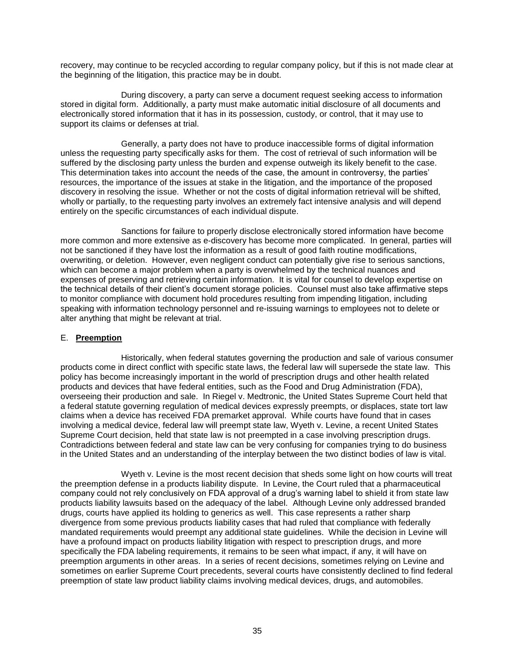recovery, may continue to be recycled according to regular company policy, but if this is not made clear at the beginning of the litigation, this practice may be in doubt.

During discovery, a party can serve a document request seeking access to information stored in digital form. Additionally, a party must make automatic initial disclosure of all documents and electronically stored information that it has in its possession, custody, or control, that it may use to support its claims or defenses at trial.

Generally, a party does not have to produce inaccessible forms of digital information unless the requesting party specifically asks for them. The cost of retrieval of such information will be suffered by the disclosing party unless the burden and expense outweigh its likely benefit to the case. This determination takes into account the needs of the case, the amount in controversy, the parties' resources, the importance of the issues at stake in the litigation, and the importance of the proposed discovery in resolving the issue. Whether or not the costs of digital information retrieval will be shifted, wholly or partially, to the requesting party involves an extremely fact intensive analysis and will depend entirely on the specific circumstances of each individual dispute.

Sanctions for failure to properly disclose electronically stored information have become more common and more extensive as e-discovery has become more complicated. In general, parties will not be sanctioned if they have lost the information as a result of good faith routine modifications, overwriting, or deletion. However, even negligent conduct can potentially give rise to serious sanctions, which can become a major problem when a party is overwhelmed by the technical nuances and expenses of preserving and retrieving certain information. It is vital for counsel to develop expertise on the technical details of their client's document storage policies. Counsel must also take affirmative steps to monitor compliance with document hold procedures resulting from impending litigation, including speaking with information technology personnel and re-issuing warnings to employees not to delete or alter anything that might be relevant at trial.

# E. **Preemption**

Historically, when federal statutes governing the production and sale of various consumer products come in direct conflict with specific state laws, the federal law will supersede the state law. This policy has become increasingly important in the world of prescription drugs and other health related products and devices that have federal entities, such as the Food and Drug Administration (FDA), overseeing their production and sale. In Riegel v. Medtronic, the United States Supreme Court held that a federal statute governing regulation of medical devices expressly preempts, or displaces, state tort law claims when a device has received FDA premarket approval. While courts have found that in cases involving a medical device, federal law will preempt state law, Wyeth v. Levine, a recent United States Supreme Court decision, held that state law is not preempted in a case involving prescription drugs. Contradictions between federal and state law can be very confusing for companies trying to do business in the United States and an understanding of the interplay between the two distinct bodies of law is vital.

Wyeth v. Levine is the most recent decision that sheds some light on how courts will treat the preemption defense in a products liability dispute. In Levine, the Court ruled that a pharmaceutical company could not rely conclusively on FDA approval of a drug's warning label to shield it from state law products liability lawsuits based on the adequacy of the label. Although Levine only addressed branded drugs, courts have applied its holding to generics as well. This case represents a rather sharp divergence from some previous products liability cases that had ruled that compliance with federally mandated requirements would preempt any additional state guidelines. While the decision in Levine will have a profound impact on products liability litigation with respect to prescription drugs, and more specifically the FDA labeling requirements, it remains to be seen what impact, if any, it will have on preemption arguments in other areas. In a series of recent decisions, sometimes relying on Levine and sometimes on earlier Supreme Court precedents, several courts have consistently declined to find federal preemption of state law product liability claims involving medical devices, drugs, and automobiles.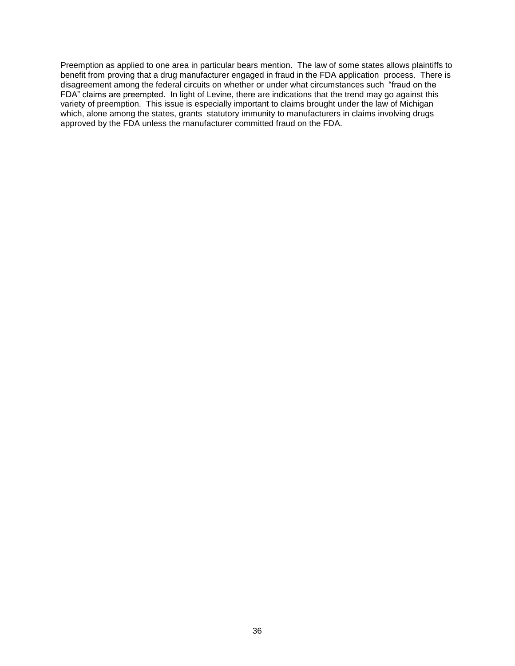Preemption as applied to one area in particular bears mention. The law of some states allows plaintiffs to benefit from proving that a drug manufacturer engaged in fraud in the FDA application process. There is disagreement among the federal circuits on whether or under what circumstances such "fraud on the FDA" claims are preempted. In light of Levine, there are indications that the trend may go against this variety of preemption. This issue is especially important to claims brought under the law of Michigan which, alone among the states, grants statutory immunity to manufacturers in claims involving drugs approved by the FDA unless the manufacturer committed fraud on the FDA.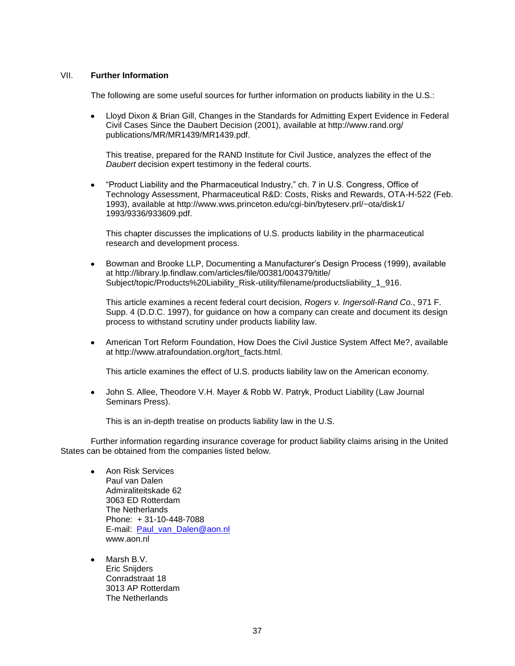## VII. **Further Information**

The following are some useful sources for further information on products liability in the U.S.:

Lloyd Dixon & Brian Gill, Changes in the Standards for Admitting Expert Evidence in Federal Civil Cases Since the Daubert Decision (2001), available at http://www.rand.org/ publications/MR/MR1439/MR1439.pdf.

This treatise, prepared for the RAND Institute for Civil Justice, analyzes the effect of the *Daubert* decision expert testimony in the federal courts.

"Product Liability and the Pharmaceutical Industry," ch. 7 in U.S. Congress, Office of Technology Assessment, Pharmaceutical R&D: Costs, Risks and Rewards, OTA-H-522 (Feb. 1993), available at http://www.wws.princeton.edu/cgi-bin/byteserv.prl/~ota/disk1/ 1993/9336/933609.pdf.

This chapter discusses the implications of U.S. products liability in the pharmaceutical research and development process.

Bowman and Brooke LLP, Documenting a Manufacturer's Design Process (1999), available  $\bullet$ at http://library.lp.findlaw.com/articles/file/00381/004379/title/ Subject/topic/Products%20Liability\_Risk-utility/filename/productsliability\_1\_916.

This article examines a recent federal court decision, *Rogers v. Ingersoll-Rand Co.*, 971 F. Supp. 4 (D.D.C. 1997), for guidance on how a company can create and document its design process to withstand scrutiny under products liability law.

American Tort Reform Foundation, How Does the Civil Justice System Affect Me?, available at http://www.atrafoundation.org/tort\_facts.html.

This article examines the effect of U.S. products liability law on the American economy.

John S. Allee, Theodore V.H. Mayer & Robb W. Patryk, Product Liability (Law Journal  $\bullet$ Seminars Press).

This is an in-depth treatise on products liability law in the U.S.

Further information regarding insurance coverage for product liability claims arising in the United States can be obtained from the companies listed below.

- Aon Risk Services Paul van Dalen Admiraliteitskade 62 3063 ED Rotterdam The Netherlands Phone: + 31-10-448-7088 E-mail: [Paul\\_van\\_Dalen@aon.nl](mailto:Paul_van_Dalen@aon.nl) www.aon.nl
- Marsh B.V. Eric Snijders Conradstraat 18 3013 AP Rotterdam The Netherlands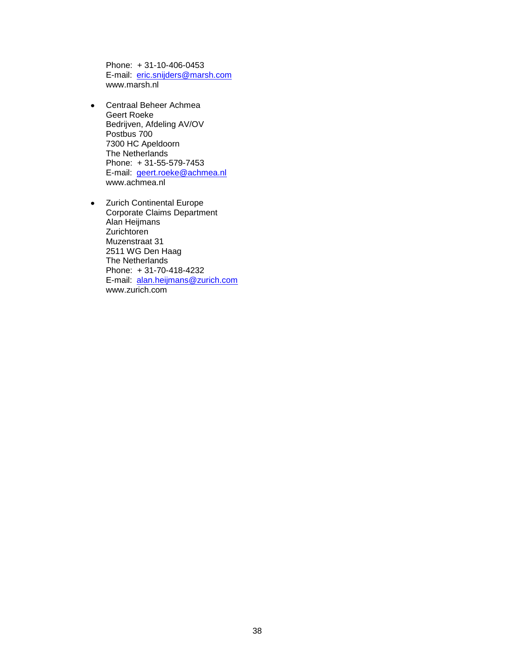Phone: + 31-10-406-0453 E-mail: [eric.snijders@marsh.com](mailto:eric.snijders@marsh.com) www.marsh.nl

- Centraal Beheer Achmea  $\bullet$ Geert Roeke Bedrijven, Afdeling AV/OV Postbus 700 7300 HC Apeldoorn The Netherlands Phone: + 31-55-579-7453 E-mail: [geert.roeke@achmea.nl](mailto:geert.roeke@achmea.nl) www.achmea.nl
- Zurich Continental Europe Corporate Claims Department Alan Heijmans Zurichtoren Muzenstraat 31 2511 WG Den Haag The Netherlands Phone: + 31-70-418-4232 E-mail: [alan.heijmans@zurich.com](mailto:alan.heijmans@zurich.com) www.zurich.com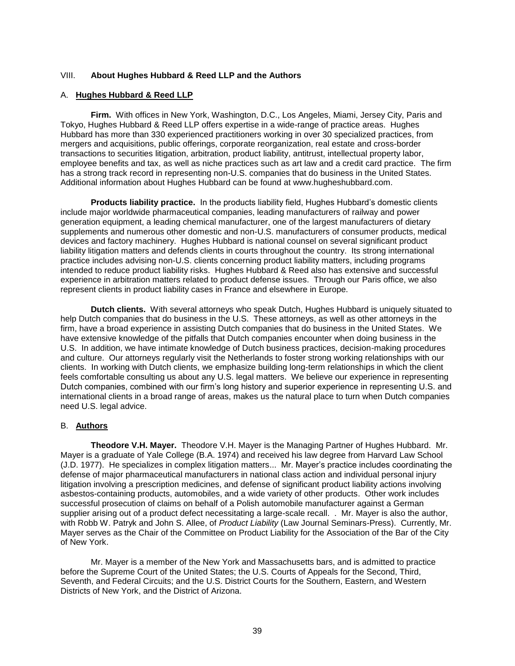## VIII. **About Hughes Hubbard & Reed LLP and the Authors**

#### A. **Hughes Hubbard & Reed LLP**

**Firm.** With offices in New York, Washington, D.C., Los Angeles, Miami, Jersey City, Paris and Tokyo, Hughes Hubbard & Reed LLP offers expertise in a wide-range of practice areas. Hughes Hubbard has more than 330 experienced practitioners working in over 30 specialized practices, from mergers and acquisitions, public offerings, corporate reorganization, real estate and cross-border transactions to securities litigation, arbitration, product liability, antitrust, intellectual property labor, employee benefits and tax, as well as niche practices such as art law and a credit card practice. The firm has a strong track record in representing non-U.S. companies that do business in the United States. Additional information about Hughes Hubbard can be found at www.hugheshubbard.com.

**Products liability practice.** In the products liability field, Hughes Hubbard's domestic clients include major worldwide pharmaceutical companies, leading manufacturers of railway and power generation equipment, a leading chemical manufacturer, one of the largest manufacturers of dietary supplements and numerous other domestic and non-U.S. manufacturers of consumer products, medical devices and factory machinery. Hughes Hubbard is national counsel on several significant product liability litigation matters and defends clients in courts throughout the country. Its strong international practice includes advising non-U.S. clients concerning product liability matters, including programs intended to reduce product liability risks. Hughes Hubbard & Reed also has extensive and successful experience in arbitration matters related to product defense issues. Through our Paris office, we also represent clients in product liability cases in France and elsewhere in Europe.

**Dutch clients.** With several attorneys who speak Dutch, Hughes Hubbard is uniquely situated to help Dutch companies that do business in the U.S. These attorneys, as well as other attorneys in the firm, have a broad experience in assisting Dutch companies that do business in the United States. We have extensive knowledge of the pitfalls that Dutch companies encounter when doing business in the U.S. In addition, we have intimate knowledge of Dutch business practices, decision-making procedures and culture. Our attorneys regularly visit the Netherlands to foster strong working relationships with our clients. In working with Dutch clients, we emphasize building long-term relationships in which the client feels comfortable consulting us about any U.S. legal matters. We believe our experience in representing Dutch companies, combined with our firm's long history and superior experience in representing U.S. and international clients in a broad range of areas, makes us the natural place to turn when Dutch companies need U.S. legal advice.

## B. **Authors**

**Theodore V.H. Mayer.** Theodore V.H. Mayer is the Managing Partner of Hughes Hubbard. Mr. Mayer is a graduate of Yale College (B.A. 1974) and received his law degree from Harvard Law School (J.D. 1977). He specializes in complex litigation matters... Mr. Mayer's practice includes coordinating the defense of major pharmaceutical manufacturers in national class action and individual personal injury litigation involving a prescription medicines, and defense of significant product liability actions involving asbestos-containing products, automobiles, and a wide variety of other products. Other work includes successful prosecution of claims on behalf of a Polish automobile manufacturer against a German supplier arising out of a product defect necessitating a large-scale recall. . Mr. Mayer is also the author, with Robb W. Patryk and John S. Allee, of *Product Liability* (Law Journal Seminars-Press). Currently, Mr. Mayer serves as the Chair of the Committee on Product Liability for the Association of the Bar of the City of New York.

Mr. Mayer is a member of the New York and Massachusetts bars, and is admitted to practice before the Supreme Court of the United States; the U.S. Courts of Appeals for the Second, Third, Seventh, and Federal Circuits; and the U.S. District Courts for the Southern, Eastern, and Western Districts of New York, and the District of Arizona.